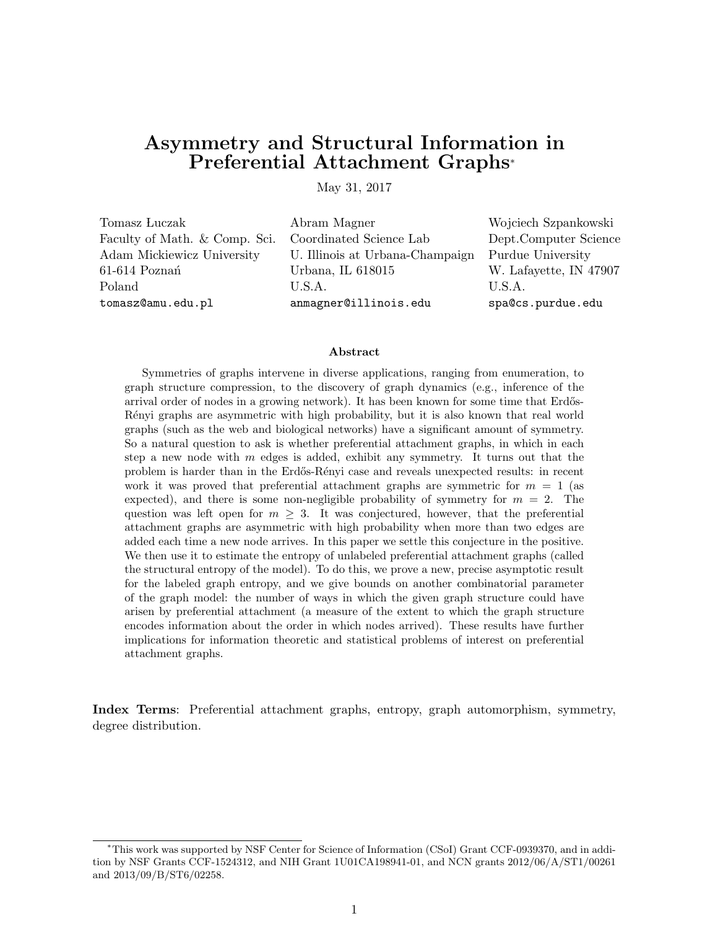# Asymmetry and Structural Information in Preferential Attachment Graphs<sup>∗</sup>

May 31, 2017

Tomasz Luczak Abram Magner Wojciech Szpankowski Faculty of Math. & Comp. Sci. Coordinated Science Lab Dept.Computer Science Adam Mickiewicz University U. Illinois at Urbana-Champaign Purdue University 61-614 Pozna´n Urbana, IL 618015 W. Lafayette, IN 47907 Poland U.S.A. U.S.A. tomasz@amu.edu.pl anmagner@illinois.edu spa@cs.purdue.edu

#### Abstract

Symmetries of graphs intervene in diverse applications, ranging from enumeration, to graph structure compression, to the discovery of graph dynamics (e.g., inference of the arrival order of nodes in a growing network). It has been known for some time that Erdős-Rényi graphs are asymmetric with high probability, but it is also known that real world graphs (such as the web and biological networks) have a significant amount of symmetry. So a natural question to ask is whether preferential attachment graphs, in which in each step a new node with  $m$  edges is added, exhibit any symmetry. It turns out that the problem is harder than in the Erdős-Rényi case and reveals unexpected results: in recent work it was proved that preferential attachment graphs are symmetric for  $m = 1$  (as expected), and there is some non-negligible probability of symmetry for  $m = 2$ . The question was left open for  $m \geq 3$ . It was conjectured, however, that the preferential attachment graphs are asymmetric with high probability when more than two edges are added each time a new node arrives. In this paper we settle this conjecture in the positive. We then use it to estimate the entropy of unlabeled preferential attachment graphs (called the structural entropy of the model). To do this, we prove a new, precise asymptotic result for the labeled graph entropy, and we give bounds on another combinatorial parameter of the graph model: the number of ways in which the given graph structure could have arisen by preferential attachment (a measure of the extent to which the graph structure encodes information about the order in which nodes arrived). These results have further implications for information theoretic and statistical problems of interest on preferential attachment graphs.

Index Terms: Preferential attachment graphs, entropy, graph automorphism, symmetry, degree distribution.

<sup>∗</sup>This work was supported by NSF Center for Science of Information (CSoI) Grant CCF-0939370, and in addition by NSF Grants CCF-1524312, and NIH Grant 1U01CA198941-01, and NCN grants 2012/06/A/ST1/00261 and 2013/09/B/ST6/02258.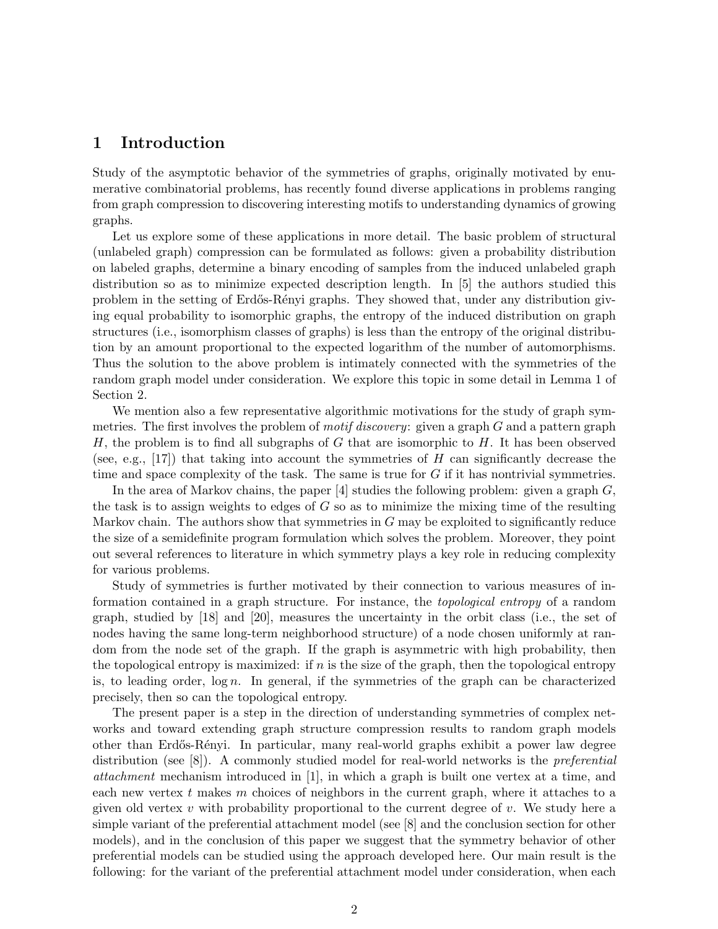### 1 Introduction

Study of the asymptotic behavior of the symmetries of graphs, originally motivated by enumerative combinatorial problems, has recently found diverse applications in problems ranging from graph compression to discovering interesting motifs to understanding dynamics of growing graphs.

Let us explore some of these applications in more detail. The basic problem of structural (unlabeled graph) compression can be formulated as follows: given a probability distribution on labeled graphs, determine a binary encoding of samples from the induced unlabeled graph distribution so as to minimize expected description length. In [5] the authors studied this problem in the setting of Erdős-Rényi graphs. They showed that, under any distribution giving equal probability to isomorphic graphs, the entropy of the induced distribution on graph structures (i.e., isomorphism classes of graphs) is less than the entropy of the original distribution by an amount proportional to the expected logarithm of the number of automorphisms. Thus the solution to the above problem is intimately connected with the symmetries of the random graph model under consideration. We explore this topic in some detail in Lemma 1 of Section 2.

We mention also a few representative algorithmic motivations for the study of graph symmetries. The first involves the problem of *motif discovery*: given a graph  $G$  and a pattern graph H, the problem is to find all subgraphs of G that are isomorphic to H. It has been observed (see, e.g., [17]) that taking into account the symmetries of H can significantly decrease the time and space complexity of the task. The same is true for  $G$  if it has nontrivial symmetries.

In the area of Markov chains, the paper  $[4]$  studies the following problem: given a graph  $G$ , the task is to assign weights to edges of  $G$  so as to minimize the mixing time of the resulting Markov chain. The authors show that symmetries in  $G$  may be exploited to significantly reduce the size of a semidefinite program formulation which solves the problem. Moreover, they point out several references to literature in which symmetry plays a key role in reducing complexity for various problems.

Study of symmetries is further motivated by their connection to various measures of information contained in a graph structure. For instance, the topological entropy of a random graph, studied by [18] and [20], measures the uncertainty in the orbit class (i.e., the set of nodes having the same long-term neighborhood structure) of a node chosen uniformly at random from the node set of the graph. If the graph is asymmetric with high probability, then the topological entropy is maximized: if  $n$  is the size of the graph, then the topological entropy is, to leading order,  $\log n$ . In general, if the symmetries of the graph can be characterized precisely, then so can the topological entropy.

The present paper is a step in the direction of understanding symmetries of complex networks and toward extending graph structure compression results to random graph models other than Erd˝os-R´enyi. In particular, many real-world graphs exhibit a power law degree distribution (see [8]). A commonly studied model for real-world networks is the preferential attachment mechanism introduced in [1], in which a graph is built one vertex at a time, and each new vertex t makes m choices of neighbors in the current graph, where it attaches to a given old vertex v with probability proportional to the current degree of v. We study here a simple variant of the preferential attachment model (see [8] and the conclusion section for other models), and in the conclusion of this paper we suggest that the symmetry behavior of other preferential models can be studied using the approach developed here. Our main result is the following: for the variant of the preferential attachment model under consideration, when each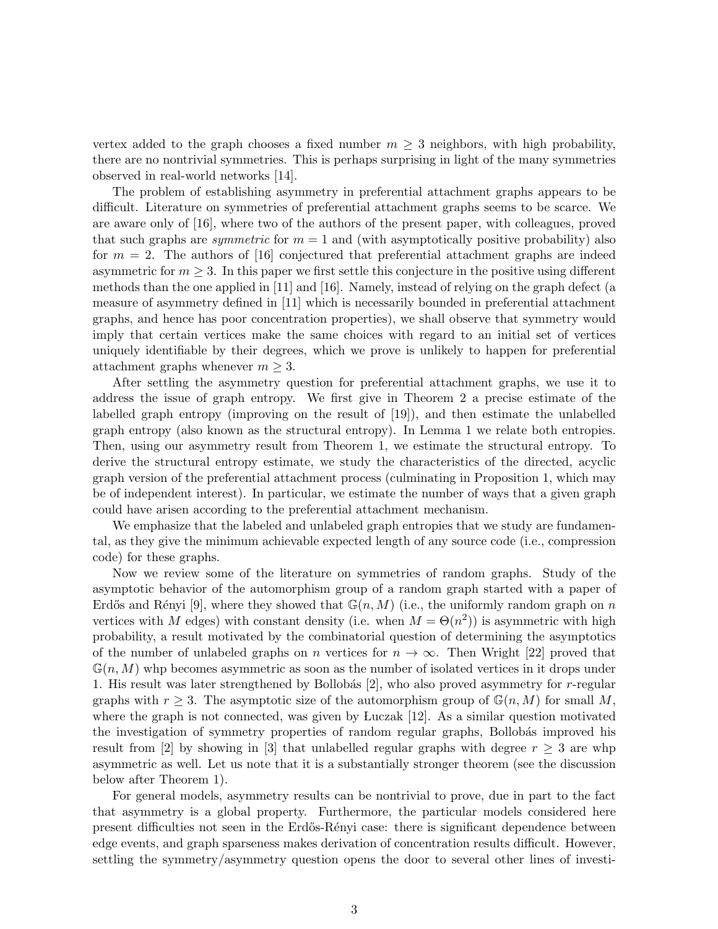vertex added to the graph chooses a fixed number  $m \geq 3$  neighbors, with high probability, there are no nontrivial symmetries. This is perhaps surprising in light of the many symmetries observed in real-world networks [14].

The problem of establishing asymmetry in preferential attachment graphs appears to be difficult. Literature on symmetries of preferential attachment graphs seems to be scarce. We are aware only of [16], where two of the authors of the present paper, with colleagues, proved that such graphs are *symmetric* for  $m = 1$  and (with asymptotically positive probability) also for  $m = 2$ . The authors of [16] conjectured that preferential attachment graphs are indeed asymmetric for  $m \geq 3$ . In this paper we first settle this conjecture in the positive using different methods than the one applied in [11] and [16]. Namely, instead of relying on the graph defect (a measure of asymmetry defined in [11] which is necessarily bounded in preferential attachment graphs, and hence has poor concentration properties), we shall observe that symmetry would imply that certain vertices make the same choices with regard to an initial set of vertices uniquely identifiable by their degrees, which we prove is unlikely to happen for preferential attachment graphs whenever  $m \geq 3$ .

After settling the asymmetry question for preferential attachment graphs, we use it to address the issue of graph entropy. We first give in Theorem 2 a precise estimate of the labelled graph entropy (improving on the result of [19]), and then estimate the unlabelled graph entropy (also known as the structural entropy). In Lemma 1 we relate both entropies. Then, using our asymmetry result from Theorem 1, we estimate the structural entropy. To derive the structural entropy estimate, we study the characteristics of the directed, acyclic graph version of the preferential attachment process (culminating in Proposition 1, which may be of independent interest). In particular, we estimate the number of ways that a given graph could have arisen according to the preferential attachment mechanism.

We emphasize that the labeled and unlabeled graph entropies that we study are fundamental, as they give the minimum achievable expected length of any source code (i.e., compression code) for these graphs.

Now we review some of the literature on symmetries of random graphs. Study of the asymptotic behavior of the automorphism group of a random graph started with a paper of Erdős and Rényi [9], where they showed that  $\mathbb{G}(n, M)$  (i.e., the uniformly random graph on n vertices with M edges) with constant density (i.e. when  $M = \Theta(n^2)$ ) is asymmetric with high probability, a result motivated by the combinatorial question of determining the asymptotics of the number of unlabeled graphs on n vertices for  $n \to \infty$ . Then Wright [22] proved that  $\mathbb{G}(n, M)$  whp becomes asymmetric as soon as the number of isolated vertices in it drops under 1. His result was later strengthened by Bollobás  $[2]$ , who also proved asymmetry for r-regular graphs with  $r \geq 3$ . The asymptotic size of the automorphism group of  $\mathbb{G}(n, M)$  for small M, where the graph is not connected, was given by Luczak [12]. As a similar question motivated the investigation of symmetry properties of random regular graphs, Bollobás improved his result from [2] by showing in [3] that unlabelled regular graphs with degree  $r \geq 3$  are whp asymmetric as well. Let us note that it is a substantially stronger theorem (see the discussion below after Theorem 1).

For general models, asymmetry results can be nontrivial to prove, due in part to the fact that asymmetry is a global property. Furthermore, the particular models considered here present difficulties not seen in the Erd˝os-R´enyi case: there is significant dependence between edge events, and graph sparseness makes derivation of concentration results difficult. However, settling the symmetry/asymmetry question opens the door to several other lines of investi-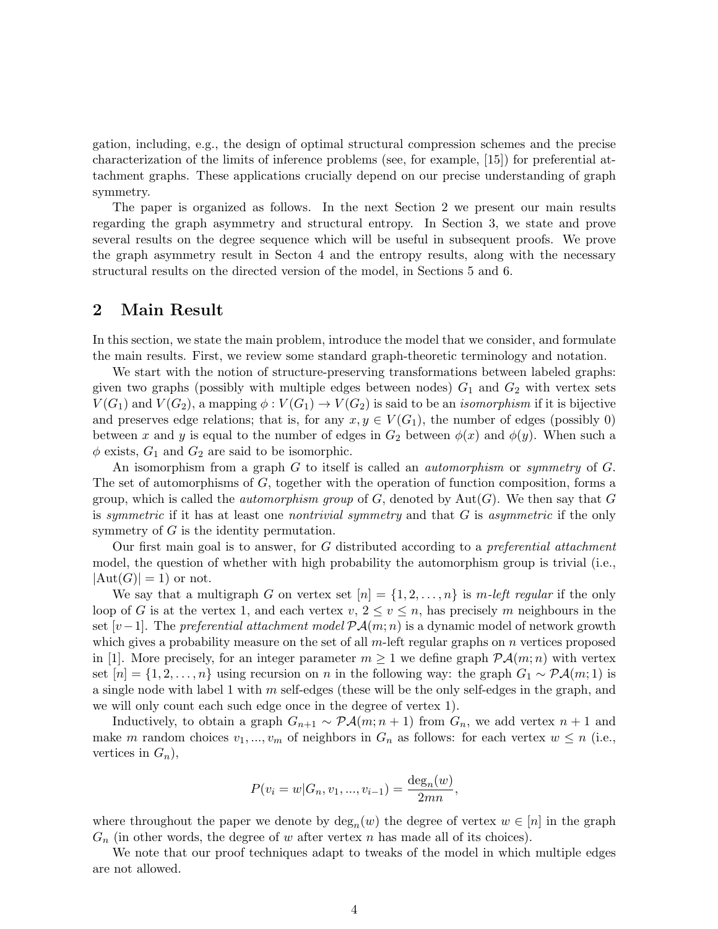gation, including, e.g., the design of optimal structural compression schemes and the precise characterization of the limits of inference problems (see, for example, [15]) for preferential attachment graphs. These applications crucially depend on our precise understanding of graph symmetry.

The paper is organized as follows. In the next Section 2 we present our main results regarding the graph asymmetry and structural entropy. In Section 3, we state and prove several results on the degree sequence which will be useful in subsequent proofs. We prove the graph asymmetry result in Secton 4 and the entropy results, along with the necessary structural results on the directed version of the model, in Sections 5 and 6.

#### 2 Main Result

In this section, we state the main problem, introduce the model that we consider, and formulate the main results. First, we review some standard graph-theoretic terminology and notation.

We start with the notion of structure-preserving transformations between labeled graphs: given two graphs (possibly with multiple edges between nodes)  $G_1$  and  $G_2$  with vertex sets  $V(G_1)$  and  $V(G_2)$ , a mapping  $\phi: V(G_1) \to V(G_2)$  is said to be an *isomorphism* if it is bijective and preserves edge relations; that is, for any  $x, y \in V(G_1)$ , the number of edges (possibly 0) between x and y is equal to the number of edges in  $G_2$  between  $\phi(x)$  and  $\phi(y)$ . When such a  $\phi$  exists,  $G_1$  and  $G_2$  are said to be isomorphic.

An isomorphism from a graph G to itself is called an *automorphism* or *symmetry* of G. The set of automorphisms of G, together with the operation of function composition, forms a group, which is called the *automorphism group* of  $G$ , denoted by  $Aut(G)$ . We then say that G is symmetric if it has at least one nontrivial symmetry and that  $G$  is asymmetric if the only symmetry of G is the identity permutation.

Our first main goal is to answer, for G distributed according to a preferential attachment model, the question of whether with high probability the automorphism group is trivial (i.e.,  $|Aut(G)| = 1$  or not.

We say that a multigraph G on vertex set  $[n] = \{1, 2, ..., n\}$  is m-left regular if the only loop of G is at the vertex 1, and each vertex  $v, 2 \le v \le n$ , has precisely m neighbours in the set  $[v-1]$ . The preferential attachment model  $\mathcal{PA}(m;n)$  is a dynamic model of network growth which gives a probability measure on the set of all  $m$ -left regular graphs on  $n$  vertices proposed in [1]. More precisely, for an integer parameter  $m \geq 1$  we define graph  $\mathcal{P}A(m;n)$  with vertex set  $[n] = \{1, 2, \ldots, n\}$  using recursion on n in the following way: the graph  $G_1 \sim \mathcal{P}(\mathcal{A}(m; 1))$  is a single node with label 1 with  $m$  self-edges (these will be the only self-edges in the graph, and we will only count each such edge once in the degree of vertex 1).

Inductively, to obtain a graph  $G_{n+1} \sim \mathcal{P} \mathcal{A}(m; n+1)$  from  $G_n$ , we add vertex  $n+1$  and make m random choices  $v_1, ..., v_m$  of neighbors in  $G_n$  as follows: for each vertex  $w \leq n$  (i.e., vertices in  $G_n$ ),

$$
P(v_i = w | G_n, v_1, ..., v_{i-1}) = \frac{\deg_n(w)}{2mn},
$$

where throughout the paper we denote by  $\deg_n(w)$  the degree of vertex  $w \in [n]$  in the graph  $G_n$  (in other words, the degree of w after vertex n has made all of its choices).

We note that our proof techniques adapt to tweaks of the model in which multiple edges are not allowed.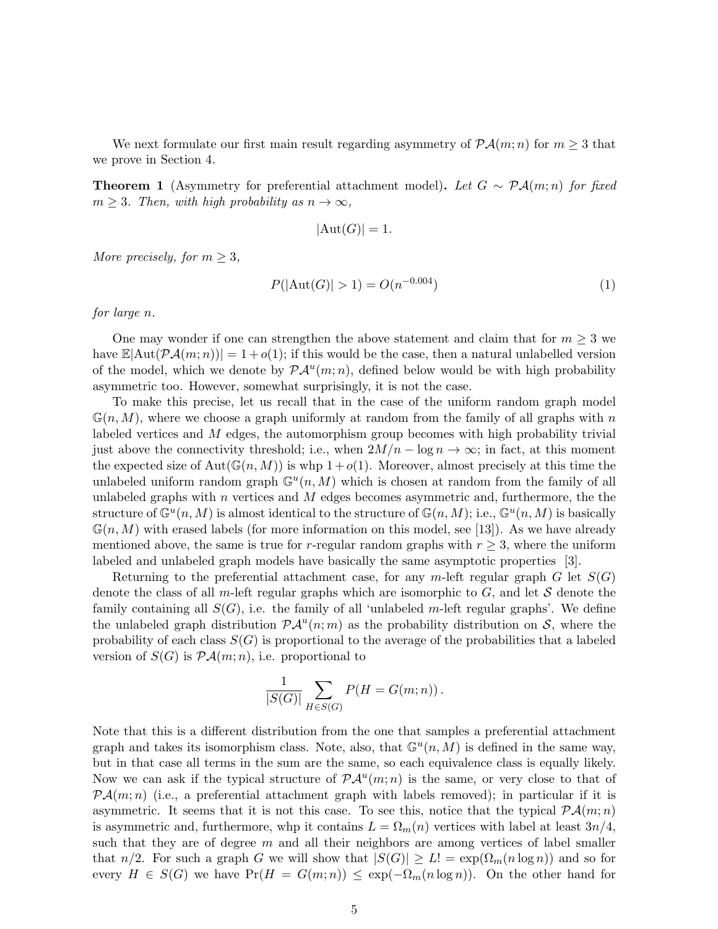We next formulate our first main result regarding asymmetry of  $\mathcal{P}A(m; n)$  for  $m \geq 3$  that we prove in Section 4.

**Theorem 1** (Asymmetry for preferential attachment model). Let  $G \sim \mathcal{P}(\mathcal{A}(m;n))$  for fixed  $m \geq 3$ . Then, with high probability as  $n \to \infty$ ,

$$
|\text{Aut}(G)| = 1.
$$

More precisely, for  $m \geq 3$ ,

$$
P(|\text{Aut}(G)| > 1) = O(n^{-0.004})
$$
\n(1)

for large n.

One may wonder if one can strengthen the above statement and claim that for  $m \geq 3$  we have  $\mathbb{E}|\text{Aut}(\mathcal{P}A(m;n))|=1+o(1);$  if this would be the case, then a natural unlabelled version of the model, which we denote by  $\mathcal{P} \mathcal{A}^u(m;n)$ , defined below would be with high probability asymmetric too. However, somewhat surprisingly, it is not the case.

To make this precise, let us recall that in the case of the uniform random graph model  $\mathbb{G}(n, M)$ , where we choose a graph uniformly at random from the family of all graphs with n labeled vertices and M edges, the automorphism group becomes with high probability trivial just above the connectivity threshold; i.e., when  $2M/n - \log n \to \infty$ ; in fact, at this moment the expected size of Aut( $\mathbb{G}(n, M)$ ) is whp  $1 + o(1)$ . Moreover, almost precisely at this time the unlabeled uniform random graph  $\mathbb{G}^u(n, M)$  which is chosen at random from the family of all unlabeled graphs with  $n$  vertices and  $M$  edges becomes asymmetric and, furthermore, the the structure of  $\mathbb{G}^u(n,M)$  is almost identical to the structure of  $\mathbb{G}(n,M)$ ; i.e.,  $\mathbb{G}^u(n,M)$  is basically  $\mathbb{G}(n, M)$  with erased labels (for more information on this model, see [13]). As we have already mentioned above, the same is true for r-regular random graphs with  $r \geq 3$ , where the uniform labeled and unlabeled graph models have basically the same asymptotic properties [3].

Returning to the preferential attachment case, for any m-left regular graph G let  $S(G)$ denote the class of all m-left regular graphs which are isomorphic to  $G$ , and let  $S$  denote the family containing all  $S(G)$ , i.e. the family of all 'unlabeled m-left regular graphs'. We define the unlabeled graph distribution  $\mathcal{P}A^u(n;m)$  as the probability distribution on S, where the probability of each class  $S(G)$  is proportional to the average of the probabilities that a labeled version of  $S(G)$  is  $P\mathcal{A}(m;n)$ , i.e. proportional to

$$
\frac{1}{|S(G)|} \sum_{H \in S(G)} P(H = G(m; n)).
$$

Note that this is a different distribution from the one that samples a preferential attachment graph and takes its isomorphism class. Note, also, that  $\mathbb{G}^u(n,M)$  is defined in the same way, but in that case all terms in the sum are the same, so each equivalence class is equally likely. Now we can ask if the typical structure of  $\mathcal{P} \mathcal{A}^u(m;n)$  is the same, or very close to that of  $P\mathcal{A}(m;n)$  (i.e., a preferential attachment graph with labels removed); in particular if it is asymmetric. It seems that it is not this case. To see this, notice that the typical  $\mathcal{P}A(m; n)$ is asymmetric and, furthermore, whp it contains  $L = \Omega_m(n)$  vertices with label at least  $3n/4$ , such that they are of degree  $m$  and all their neighbors are among vertices of label smaller that  $n/2$ . For such a graph G we will show that  $|S(G)| \ge L! = \exp(\Omega_m(n \log n))$  and so for every  $H \in S(G)$  we have  $Pr(H = G(m;n)) \leq exp(-\Omega_m(n \log n))$ . On the other hand for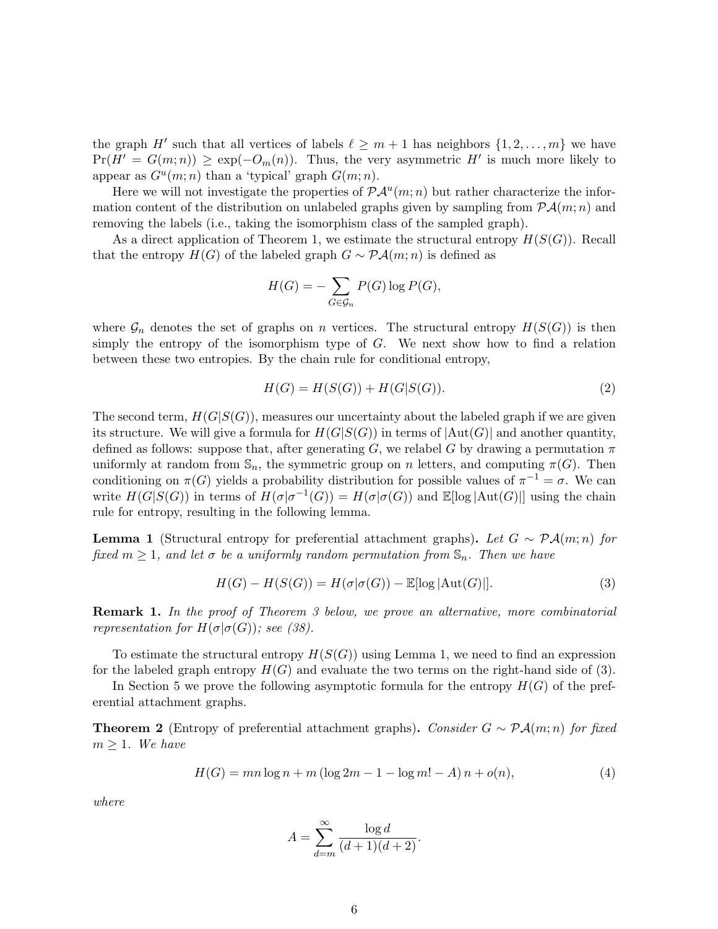the graph H' such that all vertices of labels  $\ell \geq m+1$  has neighbors  $\{1, 2, \ldots, m\}$  we have  $Pr(H' = G(m; n)) \geq exp(-O_m(n))$ . Thus, the very asymmetric H' is much more likely to appear as  $G^u(m; n)$  than a 'typical' graph  $G(m; n)$ .

Here we will not investigate the properties of  $\mathcal{PA}^u(m;n)$  but rather characterize the information content of the distribution on unlabeled graphs given by sampling from  $P\mathcal{A}(m; n)$  and removing the labels (i.e., taking the isomorphism class of the sampled graph).

As a direct application of Theorem 1, we estimate the structural entropy  $H(S(G))$ . Recall that the entropy  $H(G)$  of the labeled graph  $G \sim \mathcal{P} \mathcal{A}(m; n)$  is defined as

$$
H(G) = -\sum_{G \in \mathcal{G}_n} P(G) \log P(G),
$$

where  $\mathcal{G}_n$  denotes the set of graphs on n vertices. The structural entropy  $H(S(G))$  is then simply the entropy of the isomorphism type of G. We next show how to find a relation between these two entropies. By the chain rule for conditional entropy,

$$
H(G) = H(S(G)) + H(G|S(G)).
$$
\n(2)

The second term,  $H(G|S(G))$ , measures our uncertainty about the labeled graph if we are given its structure. We will give a formula for  $H(G|S(G))$  in terms of  $|\text{Aut}(G)|$  and another quantity, defined as follows: suppose that, after generating G, we relabel G by drawing a permutation  $\pi$ uniformly at random from  $\mathbb{S}_n$ , the symmetric group on n letters, and computing  $\pi(G)$ . Then conditioning on  $\pi(G)$  yields a probability distribution for possible values of  $\pi^{-1} = \sigma$ . We can write  $H(G|S(G))$  in terms of  $H(\sigma|\sigma^{-1}(G)) = H(\sigma|\sigma(G))$  and  $\mathbb{E}[\log|\text{Aut}(G)|]$  using the chain rule for entropy, resulting in the following lemma.

**Lemma 1** (Structural entropy for preferential attachment graphs). Let  $G \sim \mathcal{P}(\mathcal{A}(m; n))$  for fixed  $m \geq 1$ , and let  $\sigma$  be a uniformly random permutation from  $\mathbb{S}_n$ . Then we have

$$
H(G) - H(S(G)) = H(\sigma | \sigma(G)) - \mathbb{E}[\log |\text{Aut}(G)|]. \tag{3}
$$

Remark 1. In the proof of Theorem 3 below, we prove an alternative, more combinatorial representation for  $H(\sigma | \sigma(G))$ ; see (38).

To estimate the structural entropy  $H(S(G))$  using Lemma 1, we need to find an expression for the labeled graph entropy  $H(G)$  and evaluate the two terms on the right-hand side of (3).

In Section 5 we prove the following asymptotic formula for the entropy  $H(G)$  of the preferential attachment graphs.

**Theorem 2** (Entropy of preferential attachment graphs). Consider  $G \sim \mathcal{P} \mathcal{A}(m; n)$  for fixed  $m \geq 1$ . We have

$$
H(G) = mn \log n + m (\log 2m - 1 - \log m! - A) n + o(n),
$$
\n(4)

where

$$
A = \sum_{d=m}^{\infty} \frac{\log d}{(d+1)(d+2)}.
$$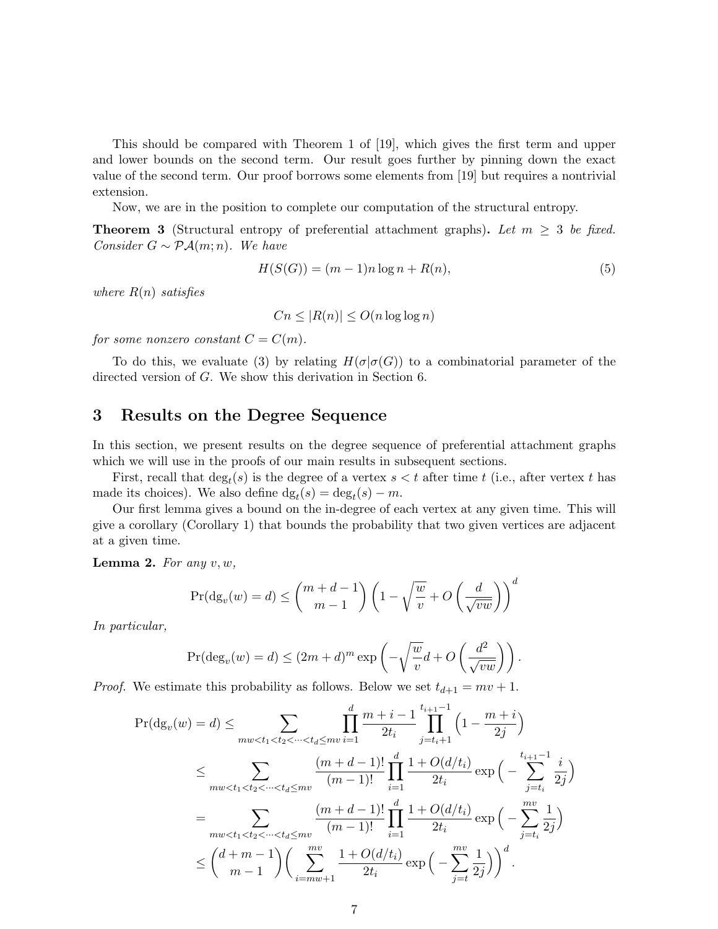This should be compared with Theorem 1 of [19], which gives the first term and upper and lower bounds on the second term. Our result goes further by pinning down the exact value of the second term. Our proof borrows some elements from [19] but requires a nontrivial extension.

Now, we are in the position to complete our computation of the structural entropy.

**Theorem 3** (Structural entropy of preferential attachment graphs). Let  $m \geq 3$  be fixed. Consider  $G \sim \mathcal{P} \mathcal{A}(m;n)$ . We have

$$
H(S(G)) = (m-1)n \log n + R(n),\tag{5}
$$

where  $R(n)$  satisfies

$$
Cn \le |R(n)| \le O(n \log \log n)
$$

for some nonzero constant  $C = C(m)$ .

To do this, we evaluate (3) by relating  $H(\sigma | \sigma(G))$  to a combinatorial parameter of the directed version of G. We show this derivation in Section 6.

#### 3 Results on the Degree Sequence

In this section, we present results on the degree sequence of preferential attachment graphs which we will use in the proofs of our main results in subsequent sections.

First, recall that  $\deg_t(s)$  is the degree of a vertex  $s < t$  after time t (i.e., after vertex t has made its choices). We also define  $dg_t(s) = deg_t(s) - m$ .

Our first lemma gives a bound on the in-degree of each vertex at any given time. This will give a corollary (Corollary 1) that bounds the probability that two given vertices are adjacent at a given time.

**Lemma 2.** For any  $v, w$ ,

$$
\Pr(\mathrm{dg}_{v}(w) = d) \le \binom{m+d-1}{m-1} \left(1 - \sqrt{\frac{w}{v}} + O\left(\frac{d}{\sqrt{vw}}\right)\right)^d
$$

In particular,

$$
\Pr(\deg_v(w) = d) \le (2m+d)^m \exp\left(-\sqrt{\frac{w}{v}}d + O\left(\frac{d^2}{\sqrt{vw}}\right)\right).
$$

*Proof.* We estimate this probability as follows. Below we set  $t_{d+1} = mv + 1$ .

$$
\Pr(\mathrm{dg}_{v}(w) = d) \leq \sum_{\substack{m \leq t_1 < t_2 < \dots < t_d \leq m}{v_{i+1}}} \prod_{i=1}^{d} \frac{m+i-1}{2t_i} \prod_{j=t_i+1}^{t_{i+1}-1} \left(1 - \frac{m+i}{2j}\right)
$$
\n
$$
\leq \sum_{\substack{m \leq t_1 < t_2 < \dots < t_d \leq m}{v_{i+1}-1}} \frac{(m+d-1)!}{(m-1)!} \prod_{i=1}^{d} \frac{1 + O(d/t_i)}{2t_i} \exp\left(-\sum_{j=t_i}^{t_{i+1}-1} \frac{i}{2j}\right)
$$
\n
$$
= \sum_{\substack{m \leq t_1 < t_2 < \dots < t_d \leq m}{v_{i+1}-1}} \frac{(m+d-1)!}{(m-1)!} \prod_{i=1}^{d} \frac{1 + O(d/t_i)}{2t_i} \exp\left(-\sum_{j=t_i}^{m} \frac{1}{2j}\right)
$$
\n
$$
\leq {d+m-1 \choose m-1} \left(\sum_{i=mw+1}^{m} \frac{1 + O(d/t_i)}{2t_i} \exp\left(-\sum_{j=t_i}^{m} \frac{1}{2j}\right)\right)^d.
$$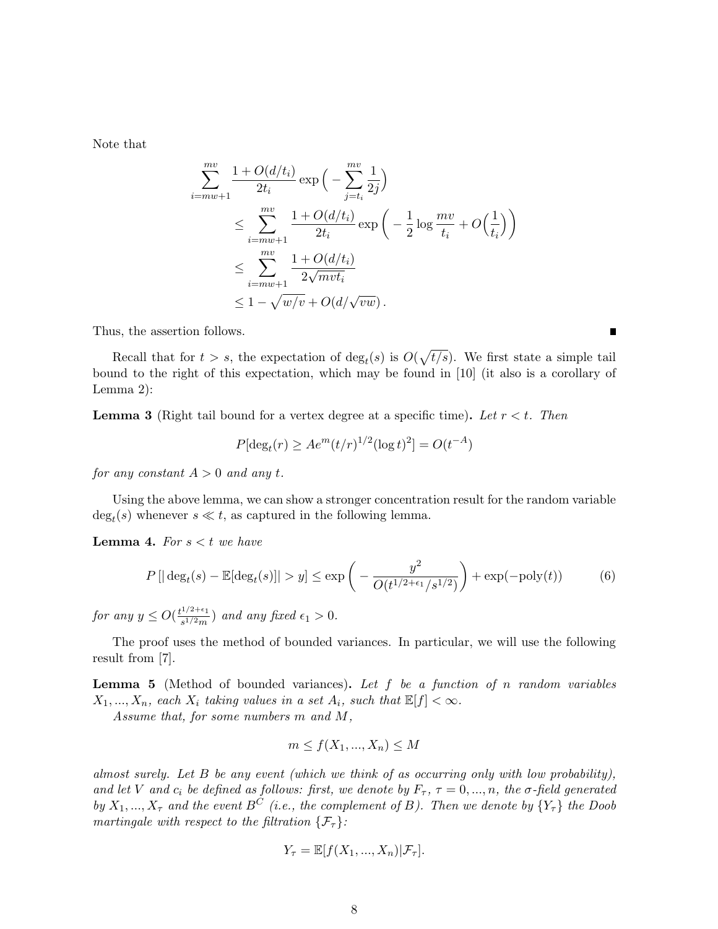Note that

$$
\sum_{i=mw+1}^{mv} \frac{1+O(d/t_i)}{2t_i} \exp\left(-\sum_{j=t_i}^{mv} \frac{1}{2j}\right)
$$
\n
$$
\leq \sum_{i=mw+1}^{mv} \frac{1+O(d/t_i)}{2t_i} \exp\left(-\frac{1}{2}\log\frac{mv}{t_i} + O\left(\frac{1}{t_i}\right)\right)
$$
\n
$$
\leq \sum_{i=mw+1}^{mv} \frac{1+O(d/t_i)}{2\sqrt{mvt_i}}
$$
\n
$$
\leq 1 - \sqrt{w/v} + O(d/\sqrt{vw}).
$$

Thus, the assertion follows.

Recall that for  $t > s$ , the expectation of  $\deg_t(s)$  is  $O(\sqrt{t/s})$ . We first state a simple tail bound to the right of this expectation, which may be found in [10] (it also is a corollary of Lemma 2):

П

**Lemma 3** (Right tail bound for a vertex degree at a specific time). Let  $r < t$ . Then

$$
P[\deg_t(r) \ge A e^m (t/r)^{1/2} (\log t)^2] = O(t^{-A})
$$

for any constant  $A > 0$  and any t.

Using the above lemma, we can show a stronger concentration result for the random variable  $\deg_t(s)$  whenever  $s \ll t$ , as captured in the following lemma.

**Lemma 4.** For  $s < t$  we have

$$
P\left[|\deg_t(s) - \mathbb{E}[\deg_t(s)]| > y\right] \le \exp\left(-\frac{y^2}{O(t^{1/2 + \epsilon_1}/s^{1/2})}\right) + \exp(-\text{poly}(t))\tag{6}
$$

for any  $y \leq O(\frac{t^{1/2+\epsilon_1}}{e^{1/2m}})$  $\frac{\int_{s}^{1/2+\epsilon_1}}{\int_{s}^{1/2}m}$  and any fixed  $\epsilon_1 > 0$ .

The proof uses the method of bounded variances. In particular, we will use the following result from [7].

**Lemma 5** (Method of bounded variances). Let  $f$  be a function of  $n$  random variables  $X_1, ..., X_n$ , each  $X_i$  taking values in a set  $A_i$ , such that  $\mathbb{E}[f] < \infty$ .

Assume that, for some numbers m and M,

$$
m \le f(X_1, ..., X_n) \le M
$$

almost surely. Let B be any event (which we think of as occurring only with low probability), and let V and  $c_i$  be defined as follows: first, we denote by  $F_\tau$ ,  $\tau = 0, ..., n$ , the  $\sigma$ -field generated by  $X_1, ..., X_{\tau}$  and the event  $B^{\tilde{C}}$  (i.e., the complement of B). Then we denote by  $\{Y_{\tau}\}\;$  the Doob martingale with respect to the filtration  $\{\mathcal{F}_{\tau}\}$ :

$$
Y_{\tau} = \mathbb{E}[f(X_1, ..., X_n)|\mathcal{F}_{\tau}].
$$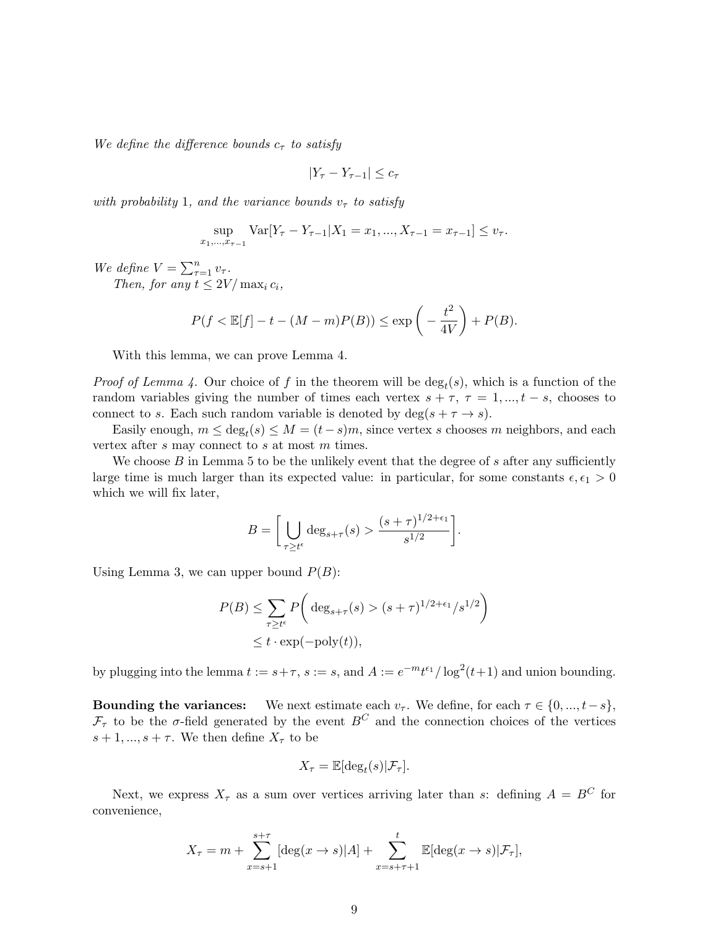We define the difference bounds  $c_{\tau}$  to satisfy

$$
|Y_{\tau} - Y_{\tau-1}| \le c_{\tau}
$$

with probability 1, and the variance bounds  $v<sub>\tau</sub>$  to satisfy

$$
\sup_{x_1,\dots,x_{\tau-1}} \text{Var}[Y_{\tau} - Y_{\tau-1} | X_1 = x_1, ..., X_{\tau-1} = x_{\tau-1}] \le v_{\tau}.
$$

We define  $V = \sum_{\tau=1}^n v_{\tau}$ .

Then, for any  $t \leq 2V/\max_i c_i$ ,

$$
P(f < \mathbb{E}[f] - t - (M - m)P(B)) \le \exp\left(-\frac{t^2}{4V}\right) + P(B).
$$

With this lemma, we can prove Lemma 4.

*Proof of Lemma 4.* Our choice of f in the theorem will be  $deg_t(s)$ , which is a function of the random variables giving the number of times each vertex  $s + \tau$ ,  $\tau = 1, ..., t - s$ , chooses to connect to s. Each such random variable is denoted by  $\deg(s + \tau \to s)$ .

Easily enough,  $m \le \deg_t(s) \le M = (t - s)m$ , since vertex s chooses m neighbors, and each vertex after s may connect to s at most m times.

We choose  $B$  in Lemma 5 to be the unlikely event that the degree of  $s$  after any sufficiently large time is much larger than its expected value: in particular, for some constants  $\epsilon, \epsilon_1 > 0$ which we will fix later,

$$
B = \left[ \bigcup_{\tau \geq t^{\epsilon}} \deg_{s+\tau}(s) > \frac{(s+\tau)^{1/2+\epsilon_1}}{s^{1/2}} \right].
$$

Using Lemma 3, we can upper bound  $P(B)$ :

$$
P(B) \le \sum_{\tau \ge t^{\epsilon}} P\left(\deg_{s+\tau}(s) > (s+\tau)^{1/2+\epsilon_1}/s^{1/2}\right)
$$
  

$$
\le t \cdot \exp(-\text{poly}(t)),
$$

by plugging into the lemma  $t := s + \tau$ ,  $s := s$ , and  $A := e^{-mt\epsilon_1}/\log^2(t+1)$  and union bounding.

**Bounding the variances:** We next estimate each  $v_{\tau}$ . We define, for each  $\tau \in \{0, ..., t-s\}$ ,  $\mathcal{F}_{\tau}$  to be the  $\sigma$ -field generated by the event  $B^C$  and the connection choices of the vertices  $s+1, ..., s+\tau$ . We then define  $X_{\tau}$  to be

$$
X_{\tau} = \mathbb{E}[\deg_t(s)|\mathcal{F}_{\tau}].
$$

Next, we express  $X_{\tau}$  as a sum over vertices arriving later than s: defining  $A = B^{C}$  for convenience,

$$
X_{\tau} = m + \sum_{x=s+1}^{s+\tau} [\deg(x \to s)|A] + \sum_{x=s+\tau+1}^{t} \mathbb{E}[\deg(x \to s)|\mathcal{F}_{\tau}],
$$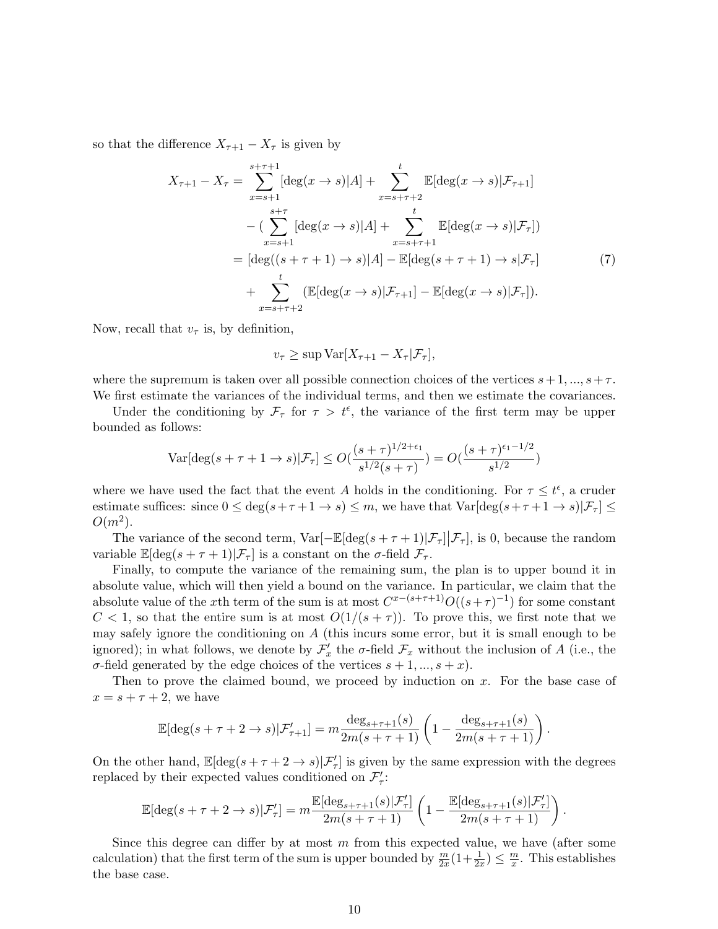so that the difference  $X_{\tau+1} - X_{\tau}$  is given by

$$
X_{\tau+1} - X_{\tau} = \sum_{x=s+1}^{s+\tau+1} [\deg(x \to s)|A] + \sum_{x=s+\tau+2}^{t} \mathbb{E}[\deg(x \to s)|\mathcal{F}_{\tau+1}]
$$
  
 
$$
- \left( \sum_{x=s+1}^{s+\tau} [\deg(x \to s)|A] + \sum_{x=s+\tau+1}^{t} \mathbb{E}[\deg(x \to s)|\mathcal{F}_{\tau}] \right)
$$
  
 
$$
= [\deg((s+\tau+1) \to s)|A] - \mathbb{E}[\deg(s+\tau+1) \to s|\mathcal{F}_{\tau}]
$$
  
 
$$
+ \sum_{x=s+\tau+2}^{t} (\mathbb{E}[\deg(x \to s)|\mathcal{F}_{\tau+1}] - \mathbb{E}[\deg(x \to s)|\mathcal{F}_{\tau}]).
$$
 (7)

Now, recall that  $v_{\tau}$  is, by definition,

$$
v_{\tau} \ge \sup \text{Var}[X_{\tau+1} - X_{\tau} | \mathcal{F}_{\tau}],
$$

where the supremum is taken over all possible connection choices of the vertices  $s + 1, ..., s + \tau$ . We first estimate the variances of the individual terms, and then we estimate the covariances.

Under the conditioning by  $\mathcal{F}_{\tau}$  for  $\tau > t^{\epsilon}$ , the variance of the first term may be upper bounded as follows:

$$
\text{Var}[\deg(s+\tau+1\to s)|\mathcal{F}_{\tau}] \le O(\frac{(s+\tau)^{1/2+\epsilon_1}}{s^{1/2}(s+\tau)}) = O(\frac{(s+\tau)^{\epsilon_1-1/2}}{s^{1/2}})
$$

where we have used the fact that the event A holds in the conditioning. For  $\tau \leq t^{\epsilon}$ , a cruder estimate suffices: since  $0 \le \deg(s+\tau+1 \to s) \le m$ , we have that  $\text{Var}[\deg(s+\tau+1 \to s)|\mathcal{F}_\tau] \le$  $O(m^2)$ .

The variance of the second term,  $Var[-\mathbb{E}[\deg(s+\tau+1)|\mathcal{F}_\tau] | \mathcal{F}_\tau]$ , is 0, because the random variable  $\mathbb{E}[\deg(s+\tau+1)|\mathcal{F}_\tau]$  is a constant on the  $\sigma$ -field  $\mathcal{F}_\tau$ .

Finally, to compute the variance of the remaining sum, the plan is to upper bound it in absolute value, which will then yield a bound on the variance. In particular, we claim that the absolute value of the x<sup>th</sup> term of the sum is at most  $C^{x-(s+\tau+1)}O((s+\tau)^{-1})$  for some constant  $C < 1$ , so that the entire sum is at most  $O(1/(s+\tau))$ . To prove this, we first note that we may safely ignore the conditioning on  $A$  (this incurs some error, but it is small enough to be ignored); in what follows, we denote by  $\mathcal{F}'_x$  the  $\sigma$ -field  $\mathcal{F}_x$  without the inclusion of A (i.e., the σ-field generated by the edge choices of the vertices  $s + 1, ..., s + x$ .

Then to prove the claimed bound, we proceed by induction on x. For the base case of  $x = s + \tau + 2$ , we have

$$
\mathbb{E}[\deg(s+\tau+2\to s)|\mathcal{F}'_{\tau+1}] = m \frac{\deg_{s+\tau+1}(s)}{2m(s+\tau+1)} \left(1 - \frac{\deg_{s+\tau+1}(s)}{2m(s+\tau+1)}\right).
$$

On the other hand,  $\mathbb{E}[\deg(s+\tau+2\to s)|\mathcal{F}'_{\tau}]$  is given by the same expression with the degrees replaced by their expected values conditioned on  $\mathcal{F}'_{\tau}$ :

$$
\mathbb{E}[\deg(s+\tau+2\to s)|\mathcal{F}_\tau']=m\frac{\mathbb{E}[\deg_{s+\tau+1}(s)|\mathcal{F}_\tau']}{2m(s+\tau+1)}\left(1-\frac{\mathbb{E}[\deg_{s+\tau+1}(s)|\mathcal{F}_\tau']}{2m(s+\tau+1)}\right).
$$

Since this degree can differ by at most  $m$  from this expected value, we have (after some calculation) that the first term of the sum is upper bounded by  $\frac{m}{2x}(1+\frac{1}{2x}) \leq \frac{m}{x}$  $\frac{m}{x}$ . This establishes the base case.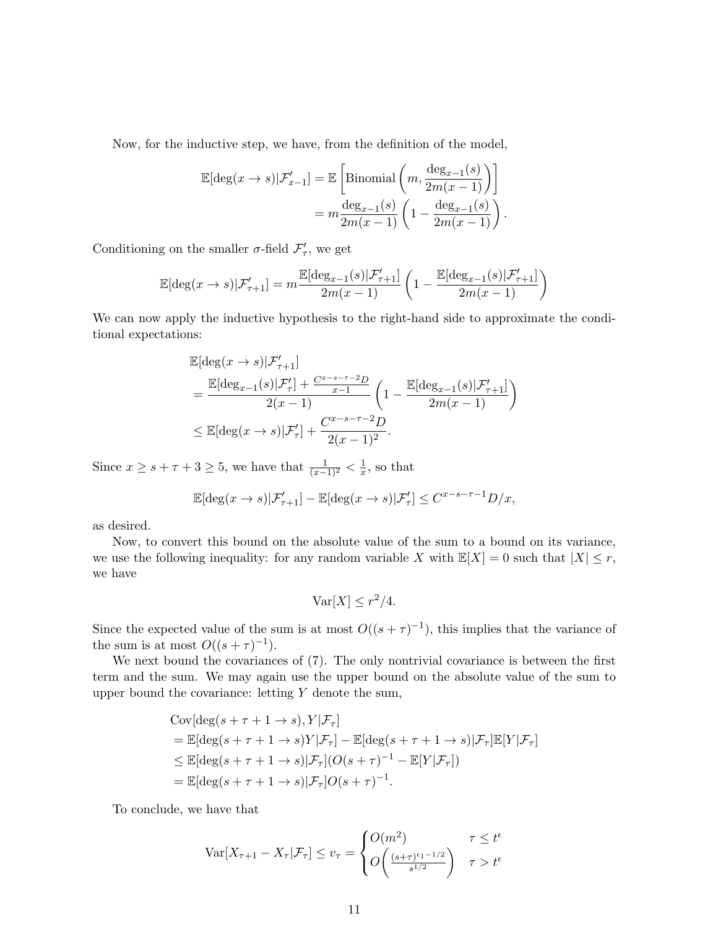Now, for the inductive step, we have, from the definition of the model,

$$
\mathbb{E}[\deg(x \to s)|\mathcal{F}'_{x-1}] = \mathbb{E}\left[\text{Binomial}\left(m, \frac{\deg_{x-1}(s)}{2m(x-1)}\right)\right]
$$

$$
= m \frac{\deg_{x-1}(s)}{2m(x-1)} \left(1 - \frac{\deg_{x-1}(s)}{2m(x-1)}\right).
$$

Conditioning on the smaller  $\sigma$ -field  $\mathcal{F}'_{\tau}$ , we get

$$
\mathbb{E}[\deg(x \rightarrow s)|\mathcal{F}_{\tau+1}'] = m\frac{\mathbb{E}[\deg_{x-1}(s)|\mathcal{F}_{\tau+1}']}{2m(x-1)}\left(1-\frac{\mathbb{E}[\deg_{x-1}(s)|\mathcal{F}_{\tau+1}']}{2m(x-1)}\right)
$$

We can now apply the inductive hypothesis to the right-hand side to approximate the conditional expectations:

$$
\mathbb{E}[\deg(x \to s)|\mathcal{F}'_{\tau+1}]
$$
\n
$$
= \frac{\mathbb{E}[\deg_{x-1}(s)|\mathcal{F}'_{\tau}| + \frac{C^{x-s-\tau-2}D}{x-1}}{2(x-1)} \left(1 - \frac{\mathbb{E}[\deg_{x-1}(s)|\mathcal{F}'_{\tau+1}]}{2m(x-1)}\right)
$$
\n
$$
\leq \mathbb{E}[\deg(x \to s)|\mathcal{F}'_{\tau}] + \frac{C^{x-s-\tau-2}D}{2(x-1)^2}.
$$

Since  $x \geq s + \tau + 3 \geq 5$ , we have that  $\frac{1}{(x-1)^2} < \frac{1}{x}$  $\frac{1}{x}$ , so that

$$
\mathbb{E}[\deg(x \to s) | \mathcal{F}_{\tau+1}'] - \mathbb{E}[\deg(x \to s) | \mathcal{F}_{\tau}'] \leq C^{x-s-\tau-1}D/x,
$$

as desired.

Now, to convert this bound on the absolute value of the sum to a bound on its variance, we use the following inequality: for any random variable X with  $\mathbb{E}[X] = 0$  such that  $|X| \leq r$ , we have

$$
\text{Var}[X] \le r^2/4.
$$

Since the expected value of the sum is at most  $O((s+\tau)^{-1})$ , this implies that the variance of the sum is at most  $O((s+\tau)^{-1})$ .

We next bound the covariances of (7). The only nontrivial covariance is between the first term and the sum. We may again use the upper bound on the absolute value of the sum to upper bound the covariance: letting  $Y$  denote the sum,

Cov[deg(s + τ + 1 → s), Y |F<sup>τ</sup> ] = E[deg(s + τ + 1 → s)Y |F<sup>τ</sup> ] − E[deg(s + τ + 1 → s)|F<sup>τ</sup> ]E[Y |F<sup>τ</sup> ] ≤ E[deg(s + τ + 1 → s)|F<sup>τ</sup> ](O(s + τ ) <sup>−</sup><sup>1</sup> − E[Y |F<sup>τ</sup> ]) = E[deg(s + τ + 1 → s)|F<sup>τ</sup> ]O(s + τ ) −1 .

To conclude, we have that

$$
\operatorname{Var}[X_{\tau+1} - X_{\tau} | \mathcal{F}_{\tau}] \le v_{\tau} = \begin{cases} O(m^2) & \tau \le t^{\epsilon} \\ O\left(\frac{(s+\tau)^{\epsilon_1 - 1/2}}{s^{1/2}}\right) & \tau > t^{\epsilon} \end{cases}
$$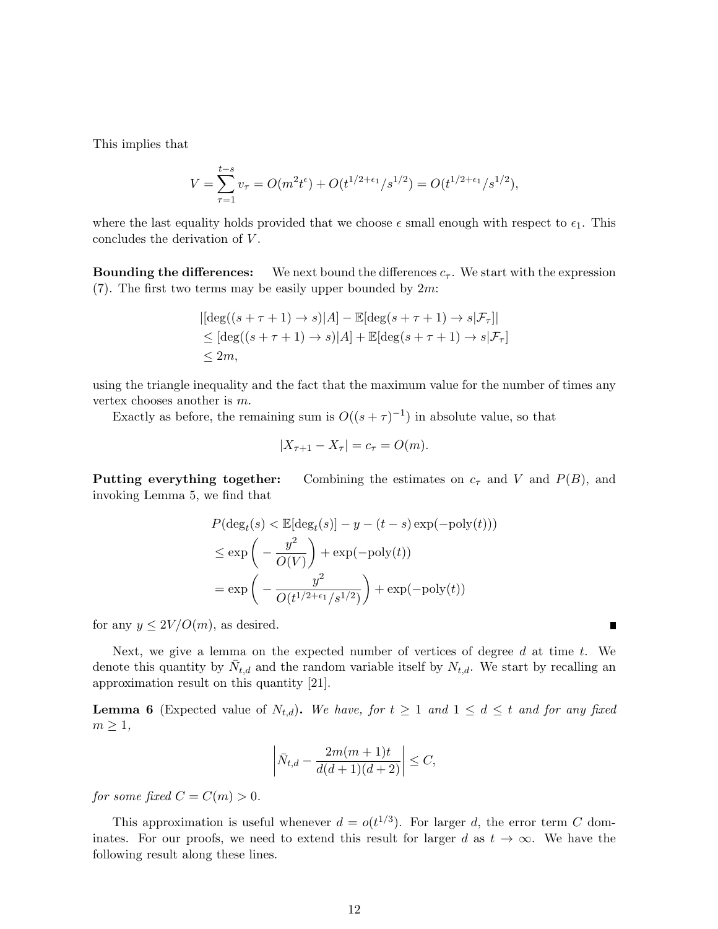This implies that

$$
V = \sum_{\tau=1}^{t-s} v_{\tau} = O(m^2 t^{\epsilon}) + O(t^{1/2 + \epsilon_1} / s^{1/2}) = O(t^{1/2 + \epsilon_1} / s^{1/2}),
$$

where the last equality holds provided that we choose  $\epsilon$  small enough with respect to  $\epsilon_1$ . This concludes the derivation of V.

**Bounding the differences:** We next bound the differences  $c_{\tau}$ . We start with the expression (7). The first two terms may be easily upper bounded by  $2m$ :

$$
|[\deg((s+\tau+1)\to s)|A] - \mathbb{E}[\deg(s+\tau+1)\to s|\mathcal{F}_\tau]|
$$
  
\n
$$
\leq [\deg((s+\tau+1)\to s)|A] + \mathbb{E}[\deg(s+\tau+1)\to s|\mathcal{F}_\tau]
$$
  
\n
$$
\leq 2m,
$$

using the triangle inequality and the fact that the maximum value for the number of times any vertex chooses another is m.

Exactly as before, the remaining sum is  $O((s+\tau)^{-1})$  in absolute value, so that

$$
|X_{\tau+1} - X_{\tau}| = c_{\tau} = O(m).
$$

Putting everything together: Combining the estimates on  $c_{\tau}$  and V and  $P(B)$ , and invoking Lemma 5, we find that

$$
P(\deg_t(s) < \mathbb{E}[\deg_t(s)] - y - (t - s) \exp(-\text{poly}(t)))
$$
\n
$$
\leq \exp\left(-\frac{y^2}{O(V)}\right) + \exp(-\text{poly}(t))
$$
\n
$$
= \exp\left(-\frac{y^2}{O(t^{1/2 + \epsilon_1}/s^{1/2})}\right) + \exp(-\text{poly}(t))
$$

for any  $y \leq 2V/O(m)$ , as desired.

Next, we give a lemma on the expected number of vertices of degree  $d$  at time  $t$ . We denote this quantity by  $\bar{N}_{t,d}$  and the random variable itself by  $N_{t,d}$ . We start by recalling an approximation result on this quantity [21].

**Lemma 6** (Expected value of  $N_{t,d}$ ). We have, for  $t \geq 1$  and  $1 \leq d \leq t$  and for any fixed  $m \geq 1$ ,

$$
\left| \bar{N}_{t,d} - \frac{2m(m+1)t}{d(d+1)(d+2)} \right| \leq C,
$$

for some fixed  $C = C(m) > 0$ .

This approximation is useful whenever  $d = o(t^{1/3})$ . For larger d, the error term C dominates. For our proofs, we need to extend this result for larger d as  $t \to \infty$ . We have the following result along these lines.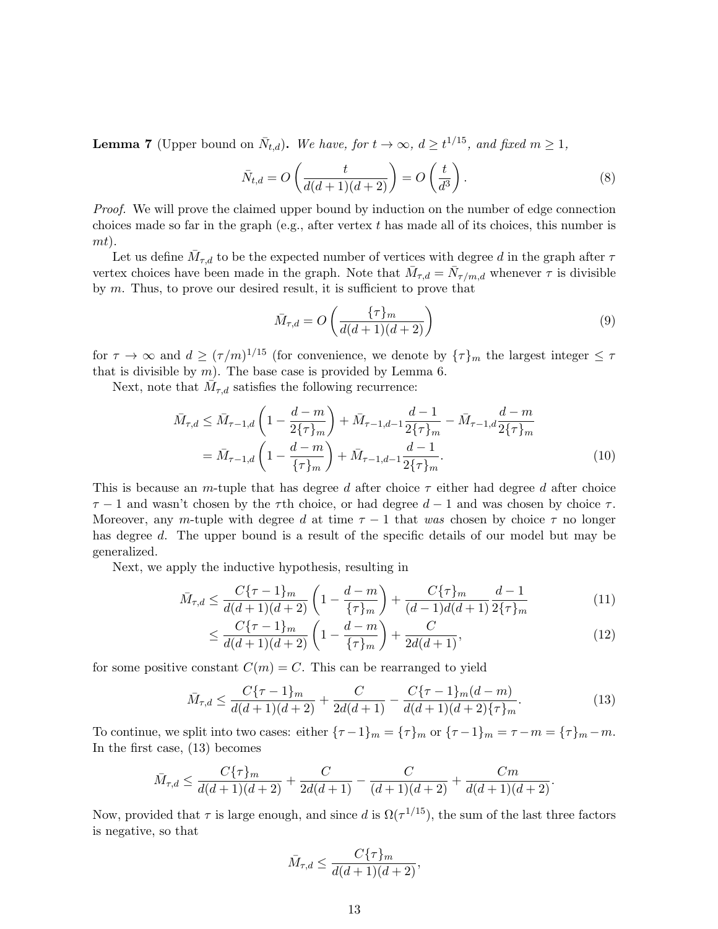**Lemma 7** (Upper bound on  $\bar{N}_{t,d}$ ). We have, for  $t \to \infty$ ,  $d \ge t^{1/15}$ , and fixed  $m \ge 1$ ,

$$
\bar{N}_{t,d} = O\left(\frac{t}{d(d+1)(d+2)}\right) = O\left(\frac{t}{d^3}\right). \tag{8}
$$

Proof. We will prove the claimed upper bound by induction on the number of edge connection choices made so far in the graph (e.g., after vertex  $t$  has made all of its choices, this number is mt).

Let us define  $\bar{M}_{\tau,d}$  to be the expected number of vertices with degree d in the graph after  $\tau$ vertex choices have been made in the graph. Note that  $\bar{M}_{\tau,d} = \bar{N}_{\tau/m,d}$  whenever  $\tau$  is divisible by  $m$ . Thus, to prove our desired result, it is sufficient to prove that

$$
\bar{M}_{\tau,d} = O\left(\frac{\{\tau\}_m}{d(d+1)(d+2)}\right) \tag{9}
$$

for  $\tau \to \infty$  and  $d \geq (\tau/m)^{1/15}$  (for convenience, we denote by  $\{\tau\}_m$  the largest integer  $\leq \tau$ that is divisible by  $m$ ). The base case is provided by Lemma 6.

Next, note that  $\overline{\dot{M}}_{\tau,d}$  satisfies the following recurrence:

$$
\bar{M}_{\tau,d} \leq \bar{M}_{\tau-1,d} \left( 1 - \frac{d-m}{2\{\tau\}_m} \right) + \bar{M}_{\tau-1,d-1} \frac{d-1}{2\{\tau\}_m} - \bar{M}_{\tau-1,d} \frac{d-m}{2\{\tau\}_m}
$$
\n
$$
= \bar{M}_{\tau-1,d} \left( 1 - \frac{d-m}{\{\tau\}_m} \right) + \bar{M}_{\tau-1,d-1} \frac{d-1}{2\{\tau\}_m}.\tag{10}
$$

This is because an m-tuple that has degree d after choice  $\tau$  either had degree d after choice  $\tau$  − 1 and wasn't chosen by the  $\tau$ th choice, or had degree  $d$  − 1 and was chosen by choice  $\tau$ . Moreover, any m-tuple with degree d at time  $\tau - 1$  that was chosen by choice  $\tau$  no longer has degree d. The upper bound is a result of the specific details of our model but may be generalized.

Next, we apply the inductive hypothesis, resulting in

$$
\bar{M}_{\tau,d} \le \frac{C\{\tau - 1\}_m}{d(d+1)(d+2)} \left(1 - \frac{d-m}{\{\tau\}_m}\right) + \frac{C\{\tau\}_m}{(d-1)d(d+1)} \frac{d-1}{2\{\tau\}_m} \tag{11}
$$

$$
\leq \frac{C\{\tau - 1\}_m}{d(d+1)(d+2)} \left(1 - \frac{d-m}{\{\tau\}_m}\right) + \frac{C}{2d(d+1)},\tag{12}
$$

for some positive constant  $C(m) = C$ . This can be rearranged to yield

$$
\bar{M}_{\tau,d} \le \frac{C\{\tau - 1\}_m}{d(d+1)(d+2)} + \frac{C}{2d(d+1)} - \frac{C\{\tau - 1\}_m(d-m)}{d(d+1)(d+2)\{\tau\}_m}.\tag{13}
$$

To continue, we split into two cases: either  ${\tau - 1}_m = {\tau}_m$  or  ${\tau - 1}_m = {\tau - m} = {\tau}_m - m$ . In the first case, (13) becomes

$$
\bar{M}_{\tau,d} \le \frac{C\{\tau\}_m}{d(d+1)(d+2)} + \frac{C}{2d(d+1)} - \frac{C}{(d+1)(d+2)} + \frac{Cm}{d(d+1)(d+2)}.
$$

Now, provided that  $\tau$  is large enough, and since d is  $\Omega(\tau^{1/15})$ , the sum of the last three factors is negative, so that

$$
\bar{M}_{\tau,d} \le \frac{C\{\tau\}_m}{d(d+1)(d+2)},
$$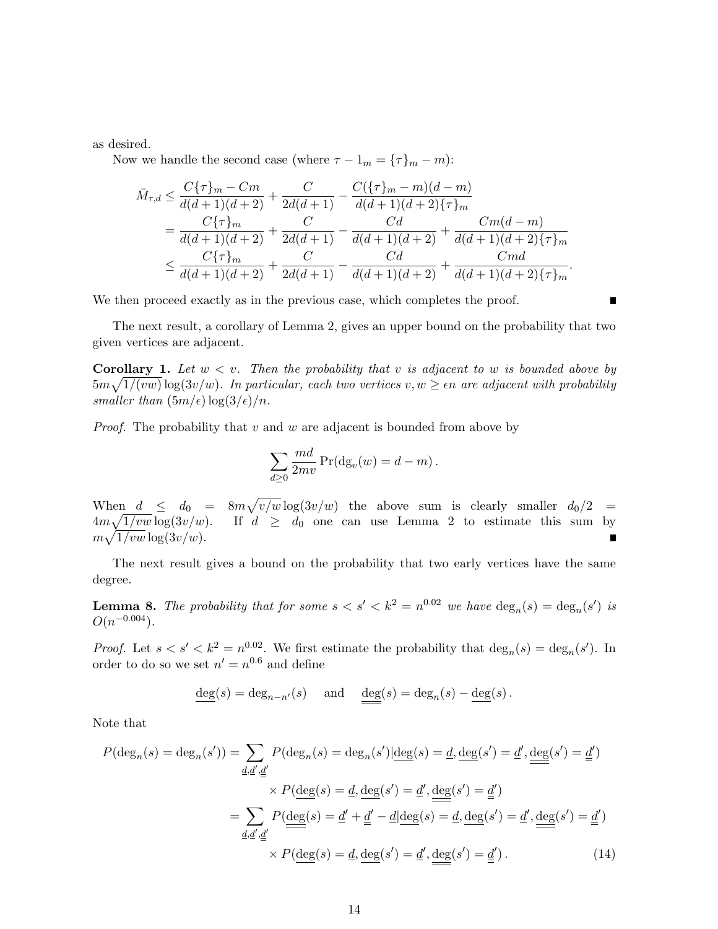as desired.

Now we handle the second case (where  $\tau - 1_m = {\tau}_m - m$ ):

$$
\bar{M}_{\tau,d} \leq \frac{C\{\tau\}_m - Cm}{d(d+1)(d+2)} + \frac{C}{2d(d+1)} - \frac{C(\{\tau\}_m - m)(d-m)}{d(d+1)(d+2)\{\tau\}_m}
$$
\n
$$
= \frac{C\{\tau\}_m}{d(d+1)(d+2)} + \frac{C}{2d(d+1)} - \frac{Cd}{d(d+1)(d+2)} + \frac{Cm(d-m)}{d(d+1)(d+2)\{\tau\}_m}
$$
\n
$$
\leq \frac{C\{\tau\}_m}{d(d+1)(d+2)} + \frac{C}{2d(d+1)} - \frac{Cd}{d(d+1)(d+2)} + \frac{Cmd}{d(d+1)(d+2)\{\tau\}_m}.
$$

We then proceed exactly as in the previous case, which completes the proof.

The next result, a corollary of Lemma 2, gives an upper bound on the probability that two given vertices are adjacent.

**Corollary 1.** Let  $w < v$ . Then the probability that v is adjacent to w is bounded above by  $5m\sqrt{1/(vw)}\log(3v/w)$ . In particular, each two vertices  $v, w \geq \epsilon n$  are adjacent with probability smaller than  $(5m/\epsilon) \log(3/\epsilon)/n$ .

*Proof.* The probability that v and w are adjacent is bounded from above by

$$
\sum_{d\geq 0} \frac{md}{2mv} \Pr(\mathrm{dg}_v(w) = d - m).
$$

When  $d \leq d_0 = 8m\sqrt{v/w} \log(3v/w)$  the above sum is clearly smaller  $d_0/2$  =  $4m\sqrt{1/vw}\log(3v/w)$ . If  $d \geq d_0$  one can use Lemma 2 to estimate this sum by  $m\sqrt{1/vw}\log(3v/w).$ 

The next result gives a bound on the probability that two early vertices have the same degree.

**Lemma 8.** The probability that for some  $s < s' < k^2 = n^{0.02}$  we have  $\deg_n(s) = \deg_n(s')$  is  $O(n^{-0.004})$ .

*Proof.* Let  $s < s' < k^2 = n^{0.02}$ . We first estimate the probability that  $\deg_n(s) = \deg_n(s')$ . In order to do so we set  $n' = n^{0.6}$  and define

$$
\underline{\deg}(s) = \deg_{n-n'}(s) \quad \text{ and } \quad \underline{\underline{\deg}}(s) = \deg_n(s) - \underline{\deg}(s) \, .
$$

Note that

$$
P(\deg_n(s) = \deg_n(s')) = \sum_{\underline{d},\underline{d}',\underline{d}'} P(\deg_n(s) = \deg_n(s')|\underline{\deg}(s) = \underline{d}, \underline{\deg}(s') = \underline{d}', \underline{\deg}(s') = \underline{d}')
$$

$$
\times P(\underline{\deg}(s) = \underline{d}, \underline{\deg}(s') = \underline{d}', \underline{\deg}(s') = \underline{d}')
$$

$$
= \sum_{\underline{d},\underline{d}',\underline{d}'} P(\underline{\deg}(s) = \underline{d}' + \underline{d}' - \underline{d}|\underline{\deg}(s) = \underline{d}, \underline{\deg}(s') = \underline{d}', \underline{\deg}(s') = \underline{d}')
$$

$$
\times P(\underline{\deg}(s) = \underline{d}, \underline{\deg}(s') = \underline{d}', \underline{\deg}(s') = \underline{d}').
$$
(14)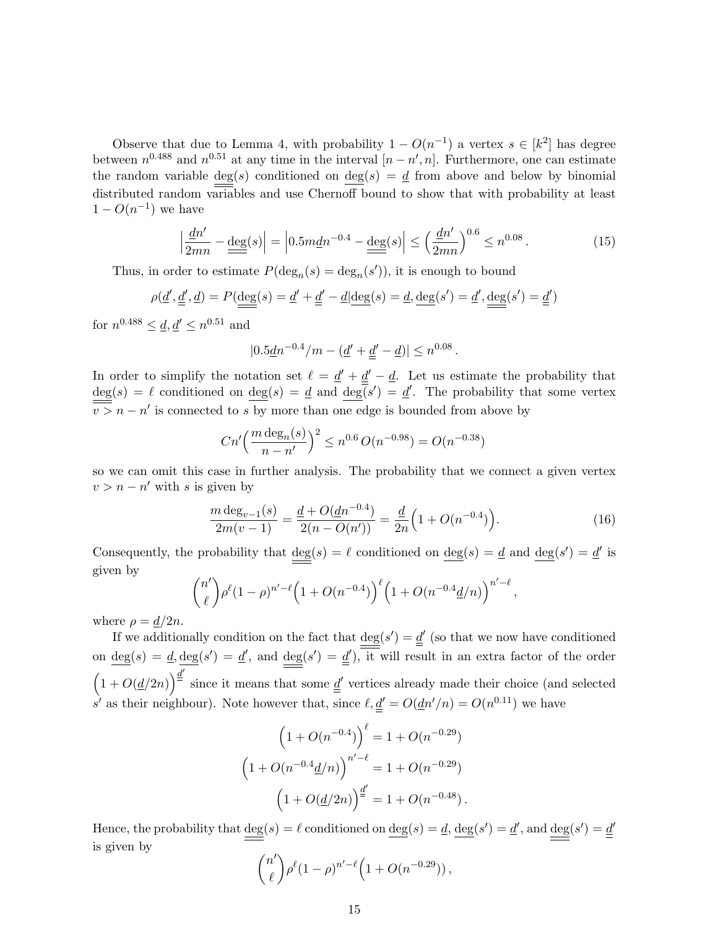Observe that due to Lemma 4, with probability  $1 - O(n^{-1})$  a vertex  $s \in [k^2]$  has degree between  $n^{0.488}$  and  $n^{0.51}$  at any time in the interval  $[n-n',n]$ . Furthermore, one can estimate the random variable deg(s) conditioned on deg(s) =  $\underline{d}$  from above and below by binomial distributed random variables and use Chernoff bound to show that with probability at least  $1 - O(n^{-1})$  we have

$$
\left|\frac{\underline{d}n'}{2mn} - \frac{\deg(s)}{\equiv}\right| = \left|0.5m\underline{d}n^{-0.4} - \frac{\deg(s)}{\equiv}\right| \le \left(\frac{\underline{d}n'}{2mn}\right)^{0.6} \le n^{0.08}.
$$
 (15)

Thus, in order to estimate  $P(\deg_n(s) = \deg_n(s'))$ , it is enough to bound

$$
\rho(\underline{d}', \underline{\underline{d}}', \underline{d}) = P(\underline{\underline{\deg}}(s) = \underline{d}' + \underline{\underline{d}}' - \underline{d} | \underline{\underline{\deg}}(s) = \underline{d}, \underline{\underline{\deg}}(s') = \underline{d}', \underline{\underline{\deg}}(s') = \underline{\underline{d}}')
$$

for  $n^{0.488} \leq \underline{d}, \underline{d}' \leq n^{0.51}$  and

$$
|0.5\underline{d}n^{-0.4}/m - (\underline{d}' + \underline{d}' - \underline{d})| \leq n^{0.08}.
$$

In order to simplify the notation set  $\ell = \underline{d}' + \underline{d}' - \underline{d}$ . Let us estimate the probability that  $deg(s) = \ell$  conditioned on  $deg(s) = \underline{d}$  and  $deg(s') = \underline{d}'$ . The probability that some vertex  $\overline{v} > n - n'$  is connected to s by more than one edge is bounded from above by

$$
Cn' \left( \frac{m \deg_n(s)}{n - n'} \right)^2 \le n^{0.6} O(n^{-0.98}) = O(n^{-0.38})
$$

so we can omit this case in further analysis. The probability that we connect a given vertex  $v > n - n'$  with s is given by

$$
\frac{m \deg_{v-1}(s)}{2m(v-1)} = \frac{\underline{d} + O(\underline{d}n^{-0.4})}{2(n - O(n'))} = \frac{\underline{d}}{2n} \left( 1 + O(n^{-0.4}) \right).
$$
\n(16)

Consequently, the probability that  $deg(s) = \ell$  conditioned on  $deg(s) = d$  and  $deg(s') = d'$  is given by

$$
{n' \choose \ell} \rho^{\ell} (1-\rho)^{n'-\ell} \left(1+O(n^{-0.4})\right)^{\ell} \left(1+O(n^{-0.4}\underline{d}/n)\right)^{n'-\ell},
$$

where  $\rho = \frac{d}{2n}$ .

If we additionally condition on the fact that  $\deg(s') = \underline{d}'$  (so that we now have conditioned on  $deg(s) = d$ ,  $deg(s') = d'$ , and  $deg(s') = d'$ , it will result in an extra factor of the order  $(1 + O(d/2n))^{\frac{d'}{2}}$ since it means that some  $\underline{d}^{\prime}$  vertices already made their choice (and selected s' as their neighbour). Note however that, since  $\ell, \underline{d}' = O(\underline{d}n'/n) = O(n^{0.11})$  we have

$$
\left(1 + O(n^{-0.4})\right)^{\ell} = 1 + O(n^{-0.29})
$$

$$
\left(1 + O(n^{-0.4} \underline{d}/n)\right)^{n'-\ell} = 1 + O(n^{-0.29})
$$

$$
\left(1 + O(\underline{d}/2n)\right)^{\underline{d}'} = 1 + O(n^{-0.48}).
$$

Hence, the probability that  $deg(s) = \ell$  conditioned on  $deg(s) = \underline{d}$ ,  $deg(s') = \underline{d}'$ , and  $deg(s') = \underline{d}'$ is given by

$$
{n' \choose \ell} \rho^{\ell} (1-\rho)^{n'-\ell} \Big( 1 + O(n^{-0.29}) \Big) ,
$$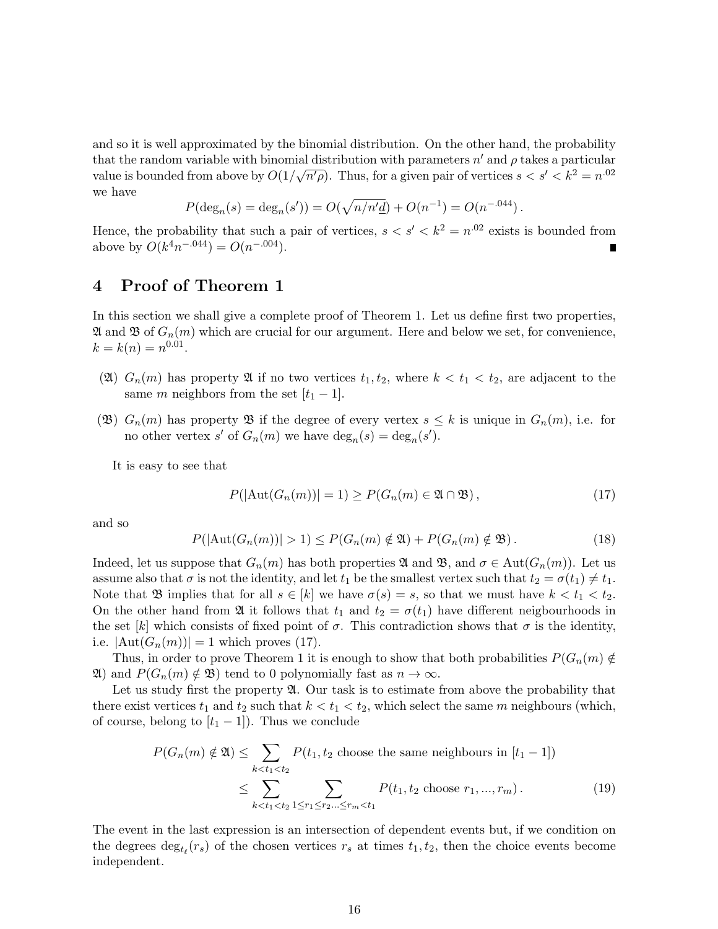and so it is well approximated by the binomial distribution. On the other hand, the probability that the random variable with binomial distribution with parameters  $n'$  and  $\rho$  takes a particular value is bounded from above by  $O(1/\sqrt{n' \rho})$ . Thus, for a given pair of vertices  $s < s' < k^2 = n^{.02}$ we have

$$
P(\deg_n(s) = \deg_n(s')) = O(\sqrt{n/n'd}) + O(n^{-1}) = O(n^{-0.044}).
$$

Hence, the probability that such a pair of vertices,  $s < s' < k^2 = n^{.02}$  exists is bounded from above by  $O(k^4n^{-.044}) = O(n^{-.004})$ .  $\blacksquare$ 

# 4 Proof of Theorem 1

In this section we shall give a complete proof of Theorem 1. Let us define first two properties,  $\mathfrak A$  and  $\mathfrak B$  of  $G_n(m)$  which are crucial for our argument. Here and below we set, for convenience,  $k = k(n) = n^{0.01}.$ 

- (2)  $G_n(m)$  has property 2 if no two vertices  $t_1, t_2$ , where  $k < t_1 < t_2$ , are adjacent to the same m neighbors from the set  $[t_1 - 1]$ .
- (B)  $G_n(m)$  has property B if the degree of every vertex  $s \leq k$  is unique in  $G_n(m)$ , i.e. for no other vertex s' of  $G_n(m)$  we have  $\deg_n(s) = \deg_n(s')$ .

It is easy to see that

$$
P(|\text{Aut}(G_n(m))| = 1) \ge P(G_n(m) \in \mathfrak{A} \cap \mathfrak{B}),\tag{17}
$$

and so

$$
P(|\text{Aut}(G_n(m))| > 1) \le P(G_n(m) \notin \mathfrak{A}) + P(G_n(m) \notin \mathfrak{B}). \tag{18}
$$

Indeed, let us suppose that  $G_n(m)$  has both properties  $\mathfrak A$  and  $\mathfrak B$ , and  $\sigma \in \text{Aut}(G_n(m))$ . Let us assume also that  $\sigma$  is not the identity, and let  $t_1$  be the smallest vertex such that  $t_2 = \sigma(t_1) \neq t_1$ . Note that  $\mathfrak{B}$  implies that for all  $s \in [k]$  we have  $\sigma(s) = s$ , so that we must have  $k < t_1 < t_2$ . On the other hand from  $\mathfrak A$  it follows that  $t_1$  and  $t_2 = \sigma(t_1)$  have different neigbourhoods in the set [k] which consists of fixed point of  $\sigma$ . This contradiction shows that  $\sigma$  is the identity, i.e.  $|\text{Aut}(G_n(m))|=1$  which proves (17).

Thus, in order to prove Theorem 1 it is enough to show that both probabilities  $P(G_n(m) \notin$  $\mathfrak{A}$ ) and  $P(G_n(m) \notin \mathfrak{B})$  tend to 0 polynomially fast as  $n \to \infty$ .

Let us study first the property  $\mathfrak{A}$ . Our task is to estimate from above the probability that there exist vertices  $t_1$  and  $t_2$  such that  $k < t_1 < t_2$ , which select the same m neighbours (which, of course, belong to  $[t_1 - 1]$ ). Thus we conclude

$$
P(G_n(m) \notin \mathfrak{A}) \le \sum_{k < t_1 < t_2} P(t_1, t_2 \text{ choose the same neighbours in } [t_1 - 1])
$$
\n
$$
\le \sum_{k < t_1 < t_2} \sum_{1 \le r_1 \le r_2 \dots \le r_m < t_1} P(t_1, t_2 \text{ choose } r_1, \dots, r_m). \tag{19}
$$

The event in the last expression is an intersection of dependent events but, if we condition on the degrees  $\deg_{t_{\ell}}(r_s)$  of the chosen vertices  $r_s$  at times  $t_1, t_2$ , then the choice events become independent.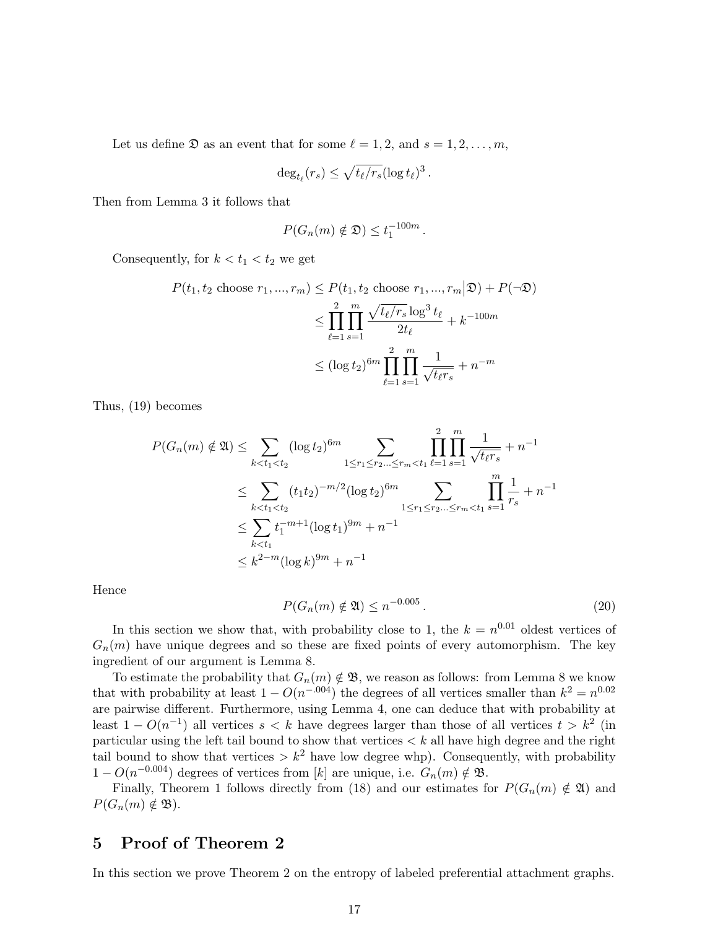Let us define  $\mathfrak D$  as an event that for some  $\ell = 1, 2,$  and  $s = 1, 2, \ldots, m$ ,

$$
\deg_{t_{\ell}}(r_s) \leq \sqrt{t_{\ell}/r_s} (\log t_{\ell})^3.
$$

Then from Lemma 3 it follows that

$$
P(G_n(m) \notin \mathfrak{D}) \leq t_1^{-100m}.
$$

Consequently, for  $k < t_1 < t_2$  we get

$$
P(t_1, t_2 \text{ choose } r_1, ..., r_m) \le P(t_1, t_2 \text{ choose } r_1, ..., r_m | \mathfrak{D}) + P(\neg \mathfrak{D})
$$
  

$$
\le \prod_{\ell=1}^2 \prod_{s=1}^m \frac{\sqrt{t_\ell/r_s} \log^3 t_\ell}{2t_\ell} + k^{-100m}
$$
  

$$
\le (\log t_2)^{6m} \prod_{\ell=1}^2 \prod_{s=1}^m \frac{1}{\sqrt{t_\ell r_s}} + n^{-m}
$$

Thus, (19) becomes

$$
P(G_n(m) \notin \mathfrak{A}) \leq \sum_{k < t_1 < t_2} (\log t_2)^{6m} \sum_{1 \leq r_1 \leq r_2 \dots \leq r_m < t_1} \prod_{\ell=1}^2 \prod_{s=1}^m \frac{1}{\sqrt{t_\ell r_s}} + n^{-1}
$$
  

$$
\leq \sum_{k < t_1 < t_2} (t_1 t_2)^{-m/2} (\log t_2)^{6m} \sum_{1 \leq r_1 \leq r_2 \dots \leq r_m < t_1} \prod_{s=1}^m \frac{1}{r_s} + n^{-1}
$$
  

$$
\leq \sum_{k < t_1} t_1^{-m+1} (\log t_1)^{9m} + n^{-1}
$$
  

$$
\leq k^{2-m} (\log k)^{9m} + n^{-1}
$$

Hence

$$
P(G_n(m) \notin \mathfrak{A}) \le n^{-0.005} \,. \tag{20}
$$

In this section we show that, with probability close to 1, the  $k = n^{0.01}$  oldest vertices of  $G_n(m)$  have unique degrees and so these are fixed points of every automorphism. The key ingredient of our argument is Lemma 8.

To estimate the probability that  $G_n(m) \notin \mathfrak{B}$ , we reason as follows: from Lemma 8 we know that with probability at least  $1 - O(n^{-.004})$  the degrees of all vertices smaller than  $k^2 = n^{0.02}$ are pairwise different. Furthermore, using Lemma 4, one can deduce that with probability at least  $1 - O(n^{-1})$  all vertices  $s < k$  have degrees larger than those of all vertices  $t > k^2$  (in particular using the left tail bound to show that vertices  $\lt k$  all have high degree and the right tail bound to show that vertices  $\geq k^2$  have low degree whp). Consequently, with probability  $1 - O(n^{-0.004})$  degrees of vertices from [k] are unique, i.e.  $G_n(m) \notin \mathfrak{B}$ .

Finally, Theorem 1 follows directly from (18) and our estimates for  $P(G_n(m) \notin \mathfrak{A})$  and  $P(G_n(m) \notin \mathfrak{B}).$ 

## 5 Proof of Theorem 2

In this section we prove Theorem 2 on the entropy of labeled preferential attachment graphs.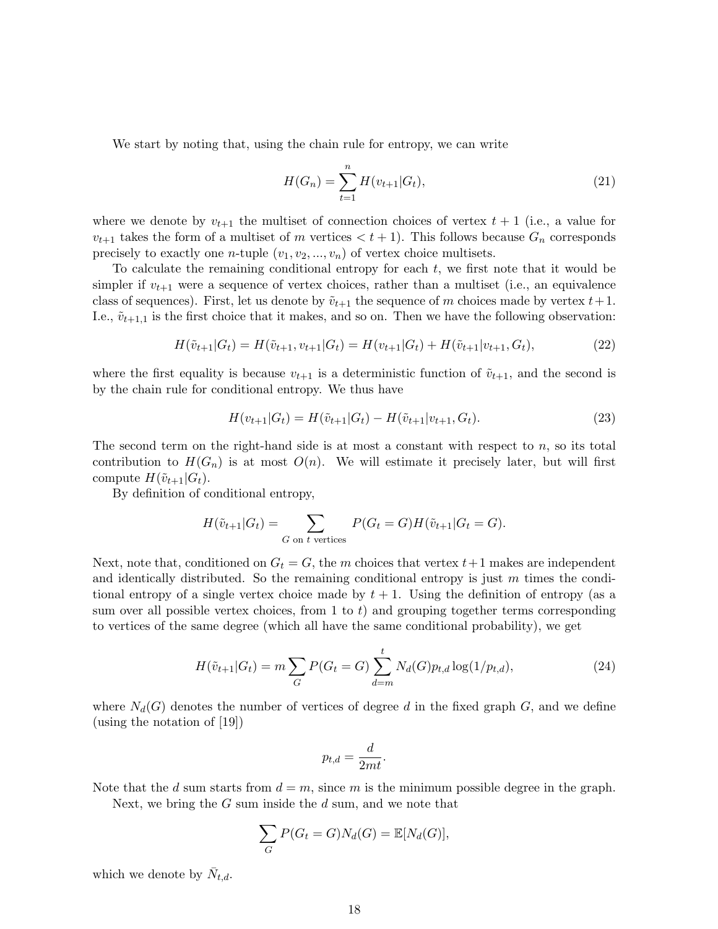We start by noting that, using the chain rule for entropy, we can write

$$
H(G_n) = \sum_{t=1}^{n} H(v_{t+1}|G_t),
$$
\n(21)

where we denote by  $v_{t+1}$  the multiset of connection choices of vertex  $t + 1$  (i.e., a value for  $v_{t+1}$  takes the form of a multiset of m vertices  $\lt t+1$ . This follows because  $G_n$  corresponds precisely to exactly one *n*-tuple  $(v_1, v_2, ..., v_n)$  of vertex choice multisets.

To calculate the remaining conditional entropy for each  $t$ , we first note that it would be simpler if  $v_{t+1}$  were a sequence of vertex choices, rather than a multiset (i.e., an equivalence class of sequences). First, let us denote by  $\tilde{v}_{t+1}$  the sequence of m choices made by vertex  $t+1$ . I.e.,  $\tilde{v}_{t+1,1}$  is the first choice that it makes, and so on. Then we have the following observation:

$$
H(\tilde{v}_{t+1}|G_t) = H(\tilde{v}_{t+1}, v_{t+1}|G_t) = H(v_{t+1}|G_t) + H(\tilde{v}_{t+1}|v_{t+1}, G_t),
$$
\n(22)

where the first equality is because  $v_{t+1}$  is a deterministic function of  $\tilde{v}_{t+1}$ , and the second is by the chain rule for conditional entropy. We thus have

$$
H(v_{t+1}|G_t) = H(\tilde{v}_{t+1}|G_t) - H(\tilde{v}_{t+1}|v_{t+1}, G_t).
$$
\n(23)

The second term on the right-hand side is at most a constant with respect to n, so its total contribution to  $H(G_n)$  is at most  $O(n)$ . We will estimate it precisely later, but will first compute  $H(\tilde{v}_{t+1}|G_t)$ .

By definition of conditional entropy,

$$
H(\tilde{v}_{t+1}|G_t) = \sum_{G \text{ on } t \text{ vertices}} P(G_t = G)H(\tilde{v}_{t+1}|G_t = G).
$$

Next, note that, conditioned on  $G_t = G$ , the m choices that vertex  $t+1$  makes are independent and identically distributed. So the remaining conditional entropy is just  $m$  times the conditional entropy of a single vertex choice made by  $t + 1$ . Using the definition of entropy (as a sum over all possible vertex choices, from 1 to  $t$ ) and grouping together terms corresponding to vertices of the same degree (which all have the same conditional probability), we get

$$
H(\tilde{v}_{t+1}|G_t) = m \sum_G P(G_t = G) \sum_{d=m}^t N_d(G) p_{t,d} \log(1/p_{t,d}),
$$
\n(24)

where  $N_d(G)$  denotes the number of vertices of degree d in the fixed graph G, and we define (using the notation of [19])

$$
p_{t,d} = \frac{d}{2mt}.
$$

Note that the d sum starts from  $d = m$ , since m is the minimum possible degree in the graph.

Next, we bring the  $G$  sum inside the  $d$  sum, and we note that

$$
\sum_{G} P(G_t = G) N_d(G) = \mathbb{E}[N_d(G)],
$$

which we denote by  $\bar{N}_{t,d}$ .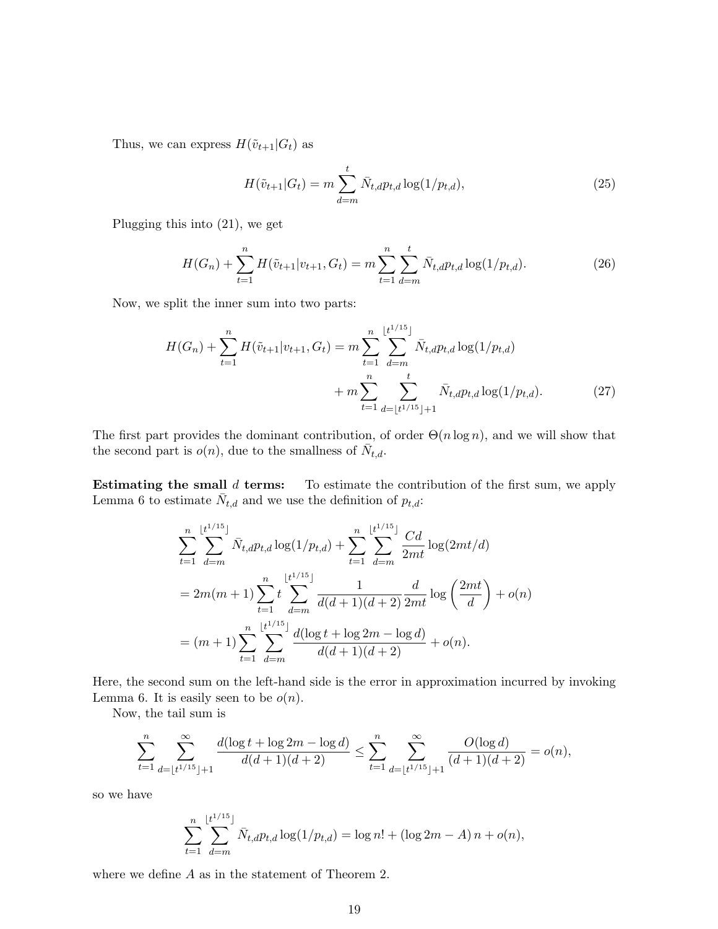Thus, we can express  $H(\tilde{v}_{t+1}|G_t)$  as

$$
H(\tilde{v}_{t+1}|G_t) = m \sum_{d=m}^{t} \bar{N}_{t,d} p_{t,d} \log(1/p_{t,d}),
$$
\n(25)

Plugging this into (21), we get

$$
H(G_n) + \sum_{t=1}^{n} H(\tilde{v}_{t+1}|v_{t+1}, G_t) = m \sum_{t=1}^{n} \sum_{d=m}^{t} \bar{N}_{t,d} p_{t,d} \log(1/p_{t,d}).
$$
\n(26)

Now, we split the inner sum into two parts:

$$
H(G_n) + \sum_{t=1}^n H(\tilde{v}_{t+1}|v_{t+1}, G_t) = m \sum_{t=1}^n \sum_{d=m}^{\lfloor t^{1/15} \rfloor} \bar{N}_{t,d} p_{t,d} \log(1/p_{t,d}) + m \sum_{t=1}^n \sum_{d=\lfloor t^{1/15} \rfloor+1}^{\lfloor t^{1/15} \rfloor} \bar{N}_{t,d} p_{t,d} \log(1/p_{t,d}).
$$
\n(27)

The first part provides the dominant contribution, of order  $\Theta(n \log n)$ , and we will show that the second part is  $o(n)$ , due to the smallness of  $\bar{N}_{t,d}$ .

**Estimating the small**  $d$  **terms:** To estimate the contribution of the first sum, we apply Lemma 6 to estimate  $\bar{N}_{t,d}$  and we use the definition of  $p_{t,d}$ :

$$
\sum_{t=1}^{n} \sum_{d=m}^{\lfloor t^{1/15} \rfloor} \bar{N}_{t,d} p_{t,d} \log(1/p_{t,d}) + \sum_{t=1}^{n} \sum_{d=m}^{\lfloor t^{1/15} \rfloor} \frac{Cd}{2mt} \log(2mt/d)
$$
  
=  $2m(m+1) \sum_{t=1}^{n} t \sum_{d=m}^{\lfloor t^{1/15} \rfloor} \frac{1}{d(d+1)(d+2)} \frac{d}{2mt} \log\left(\frac{2mt}{d}\right) + o(n)$   
=  $(m+1) \sum_{t=1}^{n} \sum_{d=m}^{\lfloor t^{1/15} \rfloor} \frac{d(\log t + \log 2m - \log d)}{d(d+1)(d+2)} + o(n).$ 

Here, the second sum on the left-hand side is the error in approximation incurred by invoking Lemma 6. It is easily seen to be  $o(n)$ .

Now, the tail sum is

$$
\sum_{t=1}^n \sum_{d=\lfloor t^{1/15} \rfloor+1}^\infty \frac{d (\log t + \log 2m - \log d)}{d(d+1)(d+2)} \leq \sum_{t=1}^n \sum_{d=\lfloor t^{1/15} \rfloor+1}^\infty \frac{O(\log d)}{(d+1)(d+2)} = o(n),
$$

so we have

$$
\sum_{t=1}^{n} \sum_{d=m}^{\lfloor t^{1/15} \rfloor} \bar{N}_{t,d} p_{t,d} \log(1/p_{t,d}) = \log n! + (\log 2m - A) n + o(n),
$$

where we define A as in the statement of Theorem 2.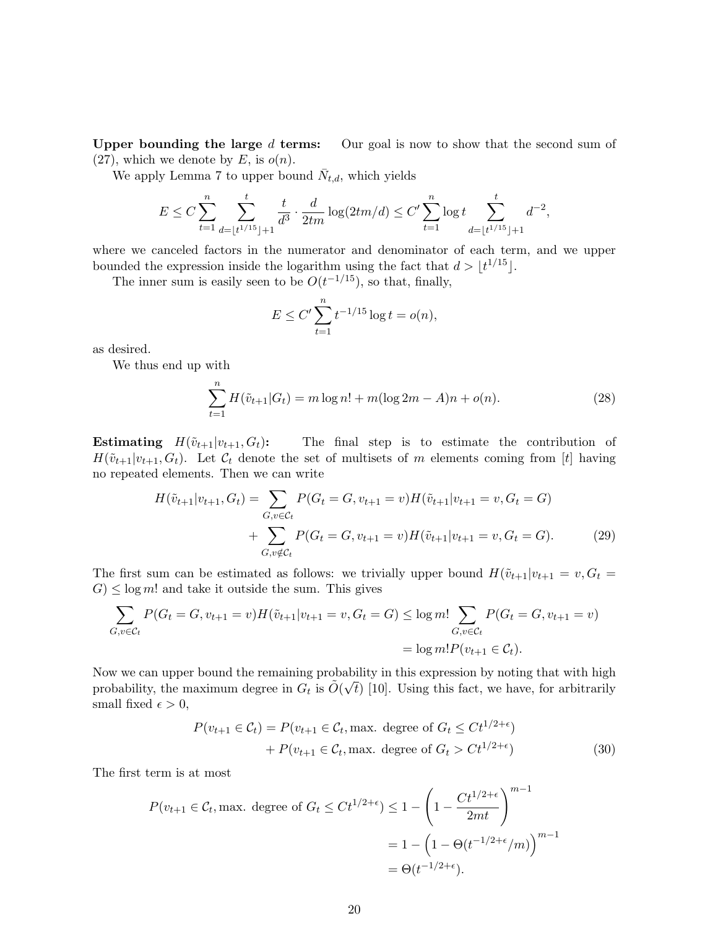Upper bounding the large  $d$  terms: Our goal is now to show that the second sum of (27), which we denote by E, is  $o(n)$ .

We apply Lemma 7 to upper bound  $\bar{N}_{t,d}$ , which yields

$$
E \le C \sum_{t=1}^n \sum_{d=\lfloor t^{1/15} \rfloor + 1}^t \frac{t}{d^3} \cdot \frac{d}{2tm} \log(2tm/d) \le C' \sum_{t=1}^n \log t \sum_{d=\lfloor t^{1/15} \rfloor + 1}^t d^{-2},
$$

where we canceled factors in the numerator and denominator of each term, and we upper bounded the expression inside the logarithm using the fact that  $d > |t^{1/15}|$ .

The inner sum is easily seen to be  $O(t^{-1/15})$ , so that, finally,

$$
E \le C' \sum_{t=1}^{n} t^{-1/15} \log t = o(n),
$$

as desired.

We thus end up with

$$
\sum_{t=1}^{n} H(\tilde{v}_{t+1}|G_t) = m \log n! + m(\log 2m - A)n + o(n).
$$
 (28)

**Estimating**  $H(\tilde{v}_{t+1}|v_{t+1}, G_t)$ : The final step is to estimate the contribution of  $H(\tilde{v}_{t+1}|v_{t+1}, G_t)$ . Let  $C_t$  denote the set of multisets of m elements coming from [t] having no repeated elements. Then we can write

$$
H(\tilde{v}_{t+1}|v_{t+1}, G_t) = \sum_{G, v \in C_t} P(G_t = G, v_{t+1} = v) H(\tilde{v}_{t+1}|v_{t+1} = v, G_t = G)
$$
  
+ 
$$
\sum_{G, v \notin C_t} P(G_t = G, v_{t+1} = v) H(\tilde{v}_{t+1}|v_{t+1} = v, G_t = G).
$$
 (29)

The first sum can be estimated as follows: we trivially upper bound  $H(\tilde{v}_{t+1}|v_{t+1} = v, G_t =$  $G \leq \log m!$  and take it outside the sum. This gives

$$
\sum_{G,v \in \mathcal{C}_t} P(G_t = G, v_{t+1} = v) H(\tilde{v}_{t+1} | v_{t+1} = v, G_t = G) \le \log m! \sum_{G,v \in \mathcal{C}_t} P(G_t = G, v_{t+1} = v)
$$
  
=  $\log m! P(v_{t+1} \in \mathcal{C}_t).$ 

Now we can upper bound the remaining probability in this expression by noting that with high  $\tilde{\lambda}(\sqrt{2})$ probability, the maximum degree in  $G_t$  is  $\tilde{O}(\sqrt{t})$  [10]. Using this fact, we have, for arbitrarily small fixed  $\epsilon > 0$ ,

$$
P(v_{t+1} \in \mathcal{C}_t) = P(v_{t+1} \in \mathcal{C}_t, \text{max. degree of } G_t \le Ct^{1/2+\epsilon})
$$
  
+ 
$$
P(v_{t+1} \in \mathcal{C}_t, \text{max. degree of } G_t > Ct^{1/2+\epsilon})
$$
 (30)

The first term is at most

$$
P(v_{t+1} \in \mathcal{C}_t, \text{max. degree of } G_t \le Ct^{1/2+\epsilon}) \le 1 - \left(1 - \frac{Ct^{1/2+\epsilon}}{2mt}\right)^{m-1}
$$

$$
= 1 - \left(1 - \Theta(t^{-1/2+\epsilon}/m)\right)^{m-1}
$$

$$
= \Theta(t^{-1/2+\epsilon}).
$$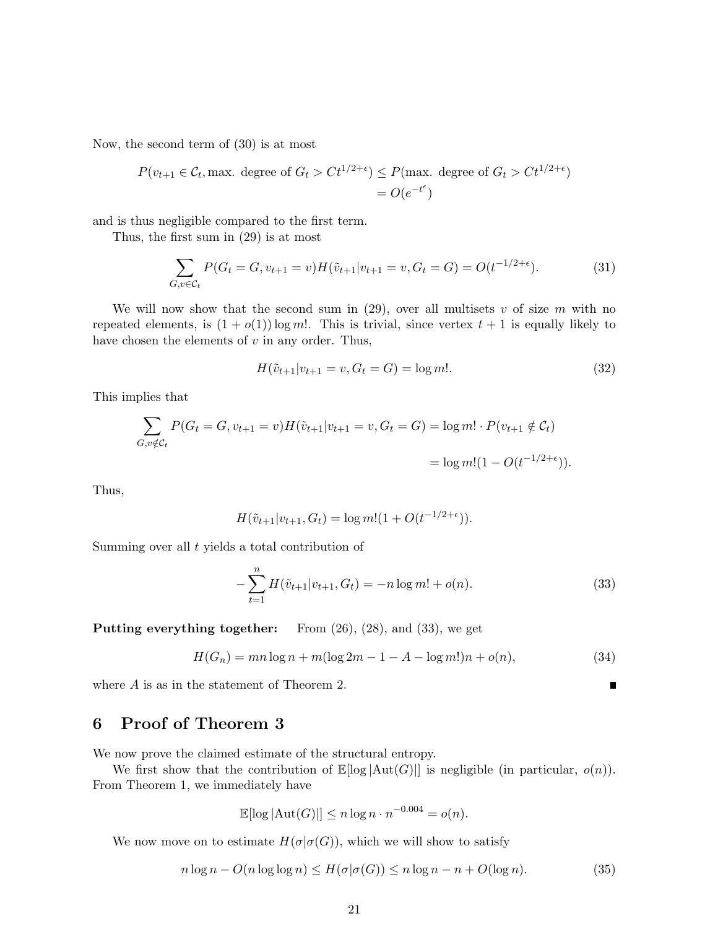Now, the second term of (30) is at most

$$
P(v_{t+1} \in \mathcal{C}_t, \text{max. degree of } G_t > Ct^{1/2+\epsilon}) \le P(\text{max. degree of } G_t > Ct^{1/2+\epsilon})
$$
  
=  $O(e^{-t^{\epsilon}})$ 

and is thus negligible compared to the first term.

Thus, the first sum in (29) is at most

$$
\sum_{G,v \in \mathcal{C}_t} P(G_t = G, v_{t+1} = v) H(\tilde{v}_{t+1} | v_{t+1} = v, G_t = G) = O(t^{-1/2 + \epsilon}).
$$
\n(31)

We will now show that the second sum in  $(29)$ , over all multisets v of size m with no repeated elements, is  $(1 + o(1)) \log m!$ . This is trivial, since vertex  $t + 1$  is equally likely to have chosen the elements of  $v$  in any order. Thus,

$$
H(\tilde{v}_{t+1}|v_{t+1} = v, G_t = G) = \log m!.
$$
\n(32)

This implies that

$$
\sum_{G,v \notin \mathcal{C}_t} P(G_t = G, v_{t+1} = v) H(\tilde{v}_{t+1} | v_{t+1} = v, G_t = G) = \log m! \cdot P(v_{t+1} \notin \mathcal{C}_t)
$$
  
=  $\log m! (1 - O(t^{-1/2 + \epsilon})).$ 

Thus,

$$
H(\tilde{v}_{t+1}|v_{t+1}, G_t) = \log m! (1 + O(t^{-1/2 + \epsilon})).
$$

Summing over all  $t$  yields a total contribution of

$$
-\sum_{t=1}^{n} H(\tilde{v}_{t+1}|v_{t+1}, G_t) = -n \log m! + o(n).
$$
 (33)

 $\blacksquare$ 

Putting everything together: From (26), (28), and (33), we get

$$
H(G_n) = mn \log n + m(\log 2m - 1 - A - \log m!)n + o(n),
$$
\n(34)

where A is as in the statement of Theorem 2.

# 6 Proof of Theorem 3

We now prove the claimed estimate of the structural entropy.

We first show that the contribution of  $\mathbb{E}[\log|\text{Aut}(G)|]$  is negligible (in particular,  $o(n)$ ). From Theorem 1, we immediately have

$$
\mathbb{E}[\log |\text{Aut}(G)|] \le n \log n \cdot n^{-0.004} = o(n).
$$

We now move on to estimate  $H(\sigma | \sigma(G))$ , which we will show to satisfy

$$
n\log n - O(n\log\log n) \le H(\sigma|\sigma(G)) \le n\log n - n + O(\log n). \tag{35}
$$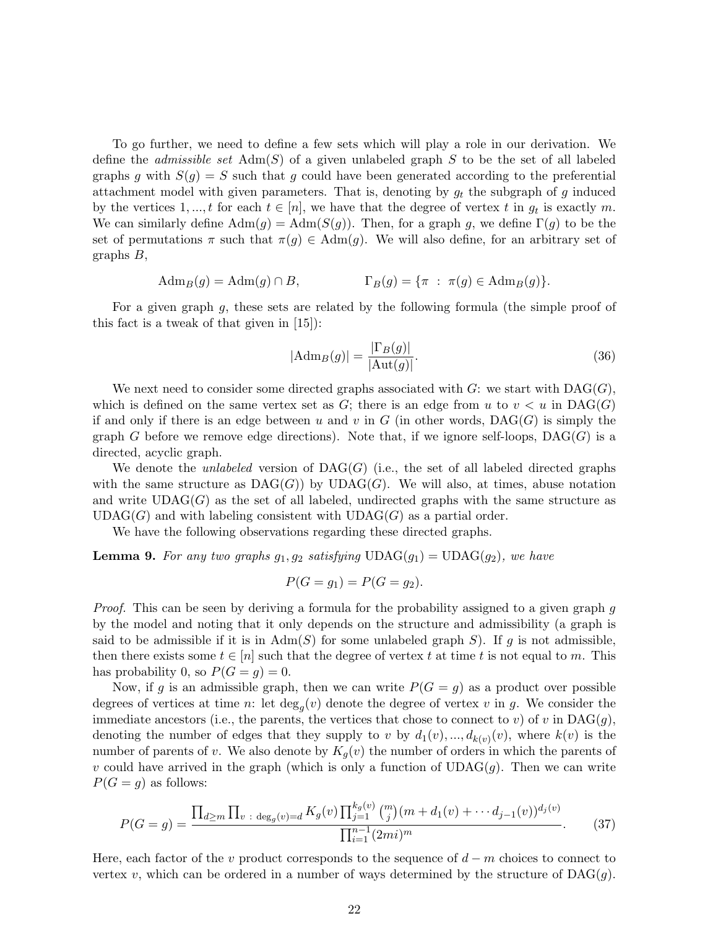To go further, we need to define a few sets which will play a role in our derivation. We define the *admissible set*  $Adm(S)$  of a given unlabeled graph S to be the set of all labeled graphs g with  $S(g) = S$  such that g could have been generated according to the preferential attachment model with given parameters. That is, denoting by  $g_t$  the subgraph of g induced by the vertices 1, ..., t for each  $t \in [n]$ , we have that the degree of vertex t in  $g_t$  is exactly m. We can similarly define  $\text{Adm}(g) = \text{Adm}(S(g))$ . Then, for a graph g, we define  $\Gamma(g)$  to be the set of permutations  $\pi$  such that  $\pi(g) \in \text{Adm}(g)$ . We will also define, for an arbitrary set of graphs B,

$$
Adm_B(g) = Adm(g) \cap B, \qquad \Gamma_B(g) = \{ \pi : \pi(g) \in Adm_B(g) \}.
$$

For a given graph  $g$ , these sets are related by the following formula (the simple proof of this fact is a tweak of that given in [15]):

$$
|\text{Adm}_B(g)| = \frac{|\Gamma_B(g)|}{|\text{Aut}(g)|}.
$$
\n(36)

We next need to consider some directed graphs associated with  $G$ : we start with  $\text{DAG}(G)$ , which is defined on the same vertex set as  $G$ ; there is an edge from u to  $v < u$  in DAG(G) if and only if there is an edge between u and v in G (in other words,  $DAG(G)$  is simply the graph G before we remove edge directions). Note that, if we ignore self-loops,  $\text{DAG}(G)$  is a directed, acyclic graph.

We denote the *unlabeled* version of  $\text{DAG}(G)$  (i.e., the set of all labeled directed graphs with the same structure as  $DAG(G)$  by  $UDAG(G)$ . We will also, at times, abuse notation and write  $UDAG(G)$  as the set of all labeled, undirected graphs with the same structure as  $UDAG(G)$  and with labeling consistent with  $UDAG(G)$  as a partial order.

We have the following observations regarding these directed graphs.

**Lemma 9.** For any two graphs  $g_1, g_2$  satisfying  $UDAG(g_1) = UDAG(g_2)$ , we have

$$
P(G = g_1) = P(G = g_2).
$$

Proof. This can be seen by deriving a formula for the probability assigned to a given graph g by the model and noting that it only depends on the structure and admissibility (a graph is said to be admissible if it is in  $\text{Adm}(S)$  for some unlabeled graph S). If g is not admissible, then there exists some  $t \in [n]$  such that the degree of vertex t at time t is not equal to m. This has probability 0, so  $P(G = q) = 0$ .

Now, if g is an admissible graph, then we can write  $P(G = g)$  as a product over possible degrees of vertices at time n: let  $deg_g(v)$  denote the degree of vertex v in g. We consider the immediate ancestors (i.e., the parents, the vertices that chose to connect to v) of v in  $\text{DAG}(g)$ , denoting the number of edges that they supply to v by  $d_1(v),...,d_{k(v)}(v)$ , where  $k(v)$  is the number of parents of v. We also denote by  $K_q(v)$  the number of orders in which the parents of v could have arrived in the graph (which is only a function of  $UDAG(g)$ . Then we can write  $P(G = g)$  as follows:

$$
P(G = g) = \frac{\prod_{d \ge m} \prod_{v \text{ : } \deg_g(v) = d} K_g(v) \prod_{j=1}^{k_g(v)} {m \choose j} (m + d_1(v) + \cdots d_{j-1}(v))^{d_j(v)}}{\prod_{i=1}^{n-1} (2mi)^m}.
$$
 (37)

Here, each factor of the v product corresponds to the sequence of  $d - m$  choices to connect to vertex v, which can be ordered in a number of ways determined by the structure of  $DAG(g)$ .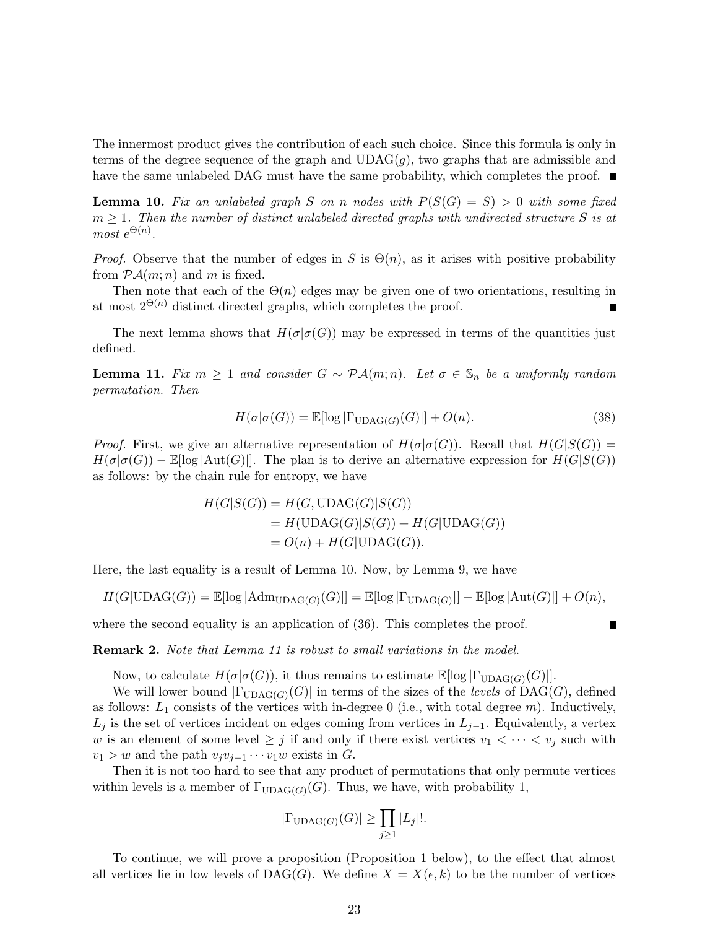The innermost product gives the contribution of each such choice. Since this formula is only in terms of the degree sequence of the graph and  $UDAG(g)$ , two graphs that are admissible and have the same unlabeled DAG must have the same probability, which completes the proof.

**Lemma 10.** Fix an unlabeled graph S on n nodes with  $P(S(G) = S) > 0$  with some fixed  $m \geq 1$ . Then the number of distinct unlabeled directed graphs with undirected structure S is at most  $e^{\Theta(n)}$ .

*Proof.* Observe that the number of edges in S is  $\Theta(n)$ , as it arises with positive probability from  $\mathcal{P} \mathcal{A}(m; n)$  and m is fixed.

Then note that each of the  $\Theta(n)$  edges may be given one of two orientations, resulting in at most  $2^{\Theta(n)}$  distinct directed graphs, which completes the proof.

The next lemma shows that  $H(\sigma | \sigma(G))$  may be expressed in terms of the quantities just defined.

**Lemma 11.** Fix  $m \geq 1$  and consider  $G \sim \mathcal{P}\mathcal{A}(m;n)$ . Let  $\sigma \in \mathcal{S}_n$  be a uniformly random permutation. Then

$$
H(\sigma|\sigma(G)) = \mathbb{E}[\log|\Gamma_{\text{UDAG}(G)}(G)|] + O(n). \tag{38}
$$

*Proof.* First, we give an alternative representation of  $H(\sigma | \sigma(G))$ . Recall that  $H(G|S(G))$  =  $H(\sigma|\sigma(G)) - \mathbb{E}[\log|\text{Aut}(G)|]$ . The plan is to derive an alternative expression for  $H(G|S(G))$ as follows: by the chain rule for entropy, we have

$$
H(G|S(G)) = H(G, \text{UDAG}(G)|S(G))
$$
  
= 
$$
H(\text{UDAG}(G)|S(G)) + H(G|\text{UDAG}(G))
$$
  
= 
$$
O(n) + H(G|\text{UDAG}(G)).
$$

Here, the last equality is a result of Lemma 10. Now, by Lemma 9, we have

$$
H(G|\text{UDAG}(G)) = \mathbb{E}[\log |\text{Adm}_{\text{UDAG}(G)}(G)|] = \mathbb{E}[\log |\Gamma_{\text{UDAG}(G)}|] - \mathbb{E}[\log |\text{Aut}(G)|] + O(n),
$$

where the second equality is an application of  $(36)$ . This completes the proof.

Remark 2. Note that Lemma 11 is robust to small variations in the model.

Now, to calculate  $H(\sigma | \sigma(G))$ , it thus remains to estimate  $\mathbb{E}[\log |\Gamma_{\text{UDAG}(G)}(G)|].$ 

We will lower bound  $|\Gamma_{\text{UDAG}(G)}(G)|$  in terms of the sizes of the *levels* of DAG(G), defined as follows:  $L_1$  consists of the vertices with in-degree 0 (i.e., with total degree m). Inductively,  $L_j$  is the set of vertices incident on edges coming from vertices in  $L_{j-1}$ . Equivalently, a vertex w is an element of some level  $\geq j$  if and only if there exist vertices  $v_1 < \cdots < v_j$  such with  $v_1 > w$  and the path  $v_jv_{j-1}\cdots v_1w$  exists in G.

Then it is not too hard to see that any product of permutations that only permute vertices within levels is a member of  $\Gamma_{\text{UDAG}(G)}(G)$ . Thus, we have, with probability 1,

$$
|\Gamma_{\mathrm{UDAG}(G)}(G)| \ge \prod_{j\ge 1} |L_j|!.
$$

To continue, we will prove a proposition (Proposition 1 below), to the effect that almost all vertices lie in low levels of  $DAG(G)$ . We define  $X = X(\epsilon, k)$  to be the number of vertices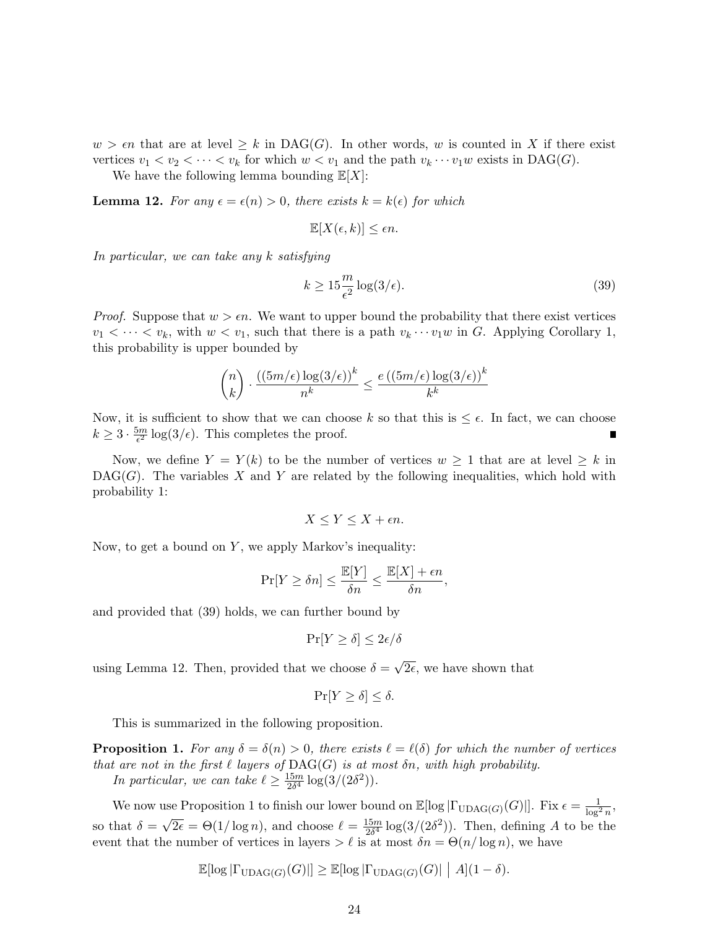$w > \epsilon n$  that are at level  $\geq k$  in DAG(G). In other words, w is counted in X if there exist vertices  $v_1 < v_2 < \cdots < v_k$  for which  $w < v_1$  and the path  $v_k \cdots v_1 w$  exists in DAG(G).

We have the following lemma bounding  $\mathbb{E}[X]$ :

**Lemma 12.** For any  $\epsilon = \epsilon(n) > 0$ , there exists  $k = k(\epsilon)$  for which

$$
\mathbb{E}[X(\epsilon, k)] \le \epsilon n.
$$

In particular, we can take any k satisfying

$$
k \ge 15 \frac{m}{\epsilon^2} \log(3/\epsilon). \tag{39}
$$

*Proof.* Suppose that  $w > \epsilon n$ . We want to upper bound the probability that there exist vertices  $v_1 < \cdots < v_k$ , with  $w < v_1$ , such that there is a path  $v_k \cdots v_1 w$  in G. Applying Corollary 1, this probability is upper bounded by

$$
\binom{n}{k} \cdot \frac{\left(\left(5m/\epsilon\right)\log(3/\epsilon)\right)^k}{n^k} \le \frac{e\left(\left(5m/\epsilon\right)\log(3/\epsilon)\right)^k}{k^k}
$$

Now, it is sufficient to show that we can choose k so that this is  $\leq \epsilon$ . In fact, we can choose  $k \geq 3 \cdot \frac{5m}{\epsilon^2}$  $\frac{2m}{\epsilon^2} \log(3/\epsilon)$ . This completes the proof.

Now, we define  $Y = Y(k)$  to be the number of vertices  $w \ge 1$  that are at level  $\ge k$  in  $DAG(G)$ . The variables X and Y are related by the following inequalities, which hold with probability 1:

$$
X \le Y \le X + \epsilon n.
$$

Now, to get a bound on  $Y$ , we apply Markov's inequality:

$$
\Pr[Y \ge \delta n] \le \frac{\mathbb{E}[Y]}{\delta n} \le \frac{\mathbb{E}[X] + \epsilon n}{\delta n},
$$

and provided that (39) holds, we can further bound by

$$
\Pr[Y \ge \delta] \le 2\epsilon/\delta
$$

using Lemma 12. Then, provided that we choose  $\delta =$ √  $2\epsilon$ , we have shown that

$$
\Pr[Y \ge \delta] \le \delta.
$$

This is summarized in the following proposition.

**Proposition 1.** For any  $\delta = \delta(n) > 0$ , there exists  $\ell = \ell(\delta)$  for which the number of vertices that are not in the first  $\ell$  layers of  $\text{DAG}(G)$  is at most  $\delta n$ , with high probability. In particular, we can take  $\ell \geq \frac{15m}{2\delta^4}$  $\frac{15m}{2\delta^4} \log(3/(2\delta^2)).$ 

We now use Proposition 1 to finish our lower bound on  $\mathbb{E}[\log |\Gamma_{\text{UDAG}(G)}(G)|]$ . Fix  $\epsilon = \frac{1}{\log^2 n}$ , so that  $\delta = \sqrt{2\epsilon} = \Theta(1/\log n)$ , and choose  $\ell = \frac{15m}{2\delta^4}$ √  $\frac{15m}{2\delta^4} \log(3/(2\delta^2))$ . Then, defining A to be the event that the number of vertices in layers  $\ell$  is at most  $\delta n = \Theta(n/\log n)$ , we have

$$
\mathbb{E}[\log |\Gamma_{\text{UDAG}(G)}(G)|] \ge \mathbb{E}[\log |\Gamma_{\text{UDAG}(G)}(G)| | A](1 - \delta).
$$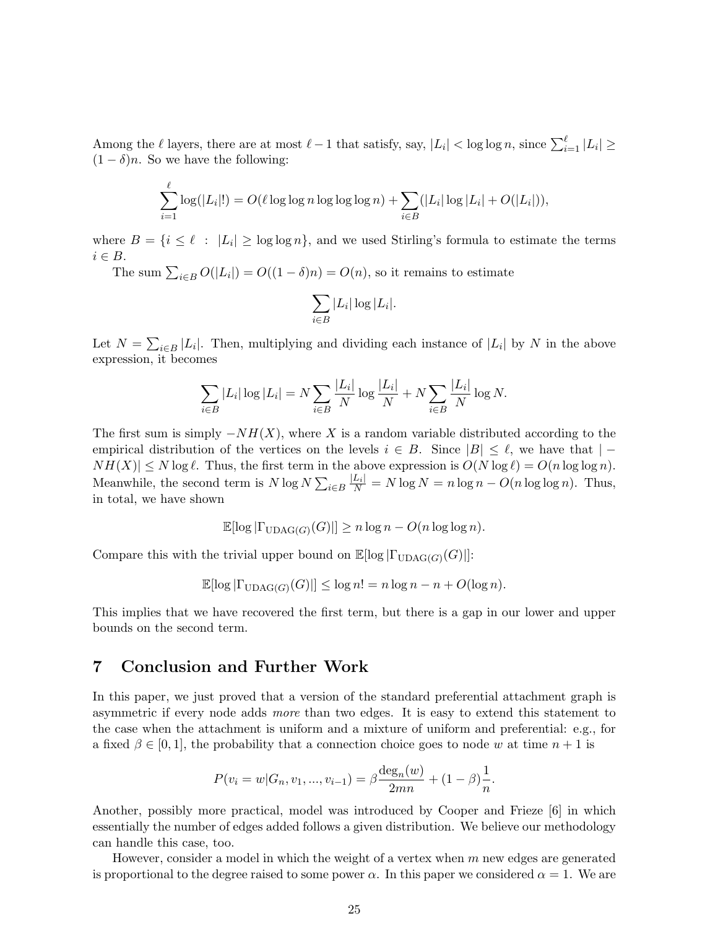Among the  $\ell$  layers, there are at most  $\ell - 1$  that satisfy, say,  $|L_i| < \log \log n$ , since  $\sum_{i=1}^{\ell} |L_i| \ge$  $(1 - \delta)n$ . So we have the following:

$$
\sum_{i=1}^{\ell} \log(|L_i|!) = O(\ell \log \log n \log \log \log n) + \sum_{i \in B} (|L_i| \log |L_i| + O(|L_i|)),
$$

where  $B = \{i \leq \ell : |L_i| \geq \log \log n\}$ , and we used Stirling's formula to estimate the terms  $i \in B$ .

The sum  $\sum_{i \in B} O(|L_i|) = O((1 - \delta)n) = O(n)$ , so it remains to estimate

$$
\sum_{i\in B} |L_i| \log |L_i|.
$$

Let  $N = \sum_{i \in B} |L_i|$ . Then, multiplying and dividing each instance of  $|L_i|$  by N in the above expression, it becomes

$$
\sum_{i \in B} |L_i| \log |L_i| = N \sum_{i \in B} \frac{|L_i|}{N} \log \frac{|L_i|}{N} + N \sum_{i \in B} \frac{|L_i|}{N} \log N.
$$

The first sum is simply  $-NH(X)$ , where X is a random variable distributed according to the empirical distribution of the vertices on the levels  $i \in B$ . Since  $|B| \leq \ell$ , we have that  $| NH(X)| \leq N \log \ell$ . Thus, the first term in the above expression is  $O(N \log \ell) = O(n \log \log n)$ . Meanwhile, the second term is  $N \log N \sum_{i \in B} \frac{|L_i|}{N} = N \log N = n \log n - O(n \log \log n)$ . Thus, in total, we have shown

$$
\mathbb{E}[\log |\Gamma_{\text{UDAG}(G)}(G)|] \ge n \log n - O(n \log \log n).
$$

Compare this with the trivial upper bound on  $\mathbb{E}[\log |\Gamma_{\text{UDAG}}(G)(G)|]$ :

$$
\mathbb{E}[\log |\Gamma_{\text{UDAG}(G)}(G)|] \le \log n! = n \log n - n + O(\log n).
$$

This implies that we have recovered the first term, but there is a gap in our lower and upper bounds on the second term.

#### 7 Conclusion and Further Work

In this paper, we just proved that a version of the standard preferential attachment graph is asymmetric if every node adds more than two edges. It is easy to extend this statement to the case when the attachment is uniform and a mixture of uniform and preferential: e.g., for a fixed  $\beta \in [0,1]$ , the probability that a connection choice goes to node w at time  $n+1$  is

$$
P(v_i = w | G_n, v_1, ..., v_{i-1}) = \beta \frac{\deg_n(w)}{2mn} + (1 - \beta) \frac{1}{n}.
$$

Another, possibly more practical, model was introduced by Cooper and Frieze [6] in which essentially the number of edges added follows a given distribution. We believe our methodology can handle this case, too.

However, consider a model in which the weight of a vertex when  $m$  new edges are generated is proportional to the degree raised to some power  $\alpha$ . In this paper we considered  $\alpha = 1$ . We are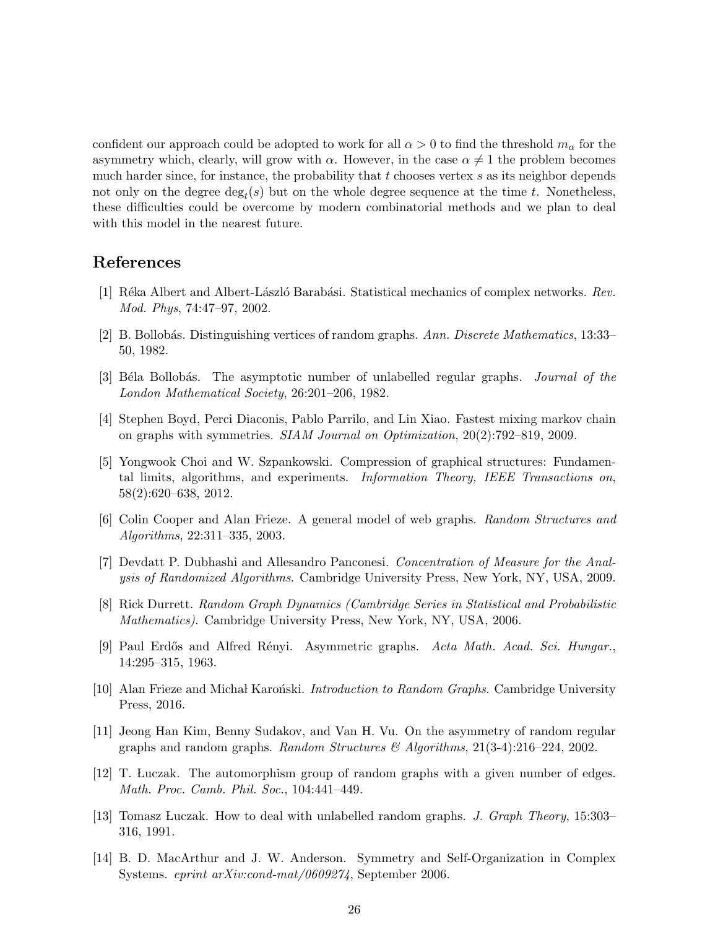confident our approach could be adopted to work for all  $\alpha > 0$  to find the threshold  $m_{\alpha}$  for the asymmetry which, clearly, will grow with  $\alpha$ . However, in the case  $\alpha \neq 1$  the problem becomes much harder since, for instance, the probability that  $t$  chooses vertex  $s$  as its neighbor depends not only on the degree  $\deg_t(s)$  but on the whole degree sequence at the time t. Nonetheless, these difficulties could be overcome by modern combinatorial methods and we plan to deal with this model in the nearest future.

# References

- [1] Réka Albert and Albert-László Barabási. Statistical mechanics of complex networks. Rev. Mod. Phys, 74:47–97, 2002.
- [2] B. Bollobás. Distinguishing vertices of random graphs. Ann. Discrete Mathematics, 13:33– 50, 1982.
- [3] Béla Bollobás. The asymptotic number of unlabelled regular graphs. *Journal of the* London Mathematical Society, 26:201–206, 1982.
- [4] Stephen Boyd, Perci Diaconis, Pablo Parrilo, and Lin Xiao. Fastest mixing markov chain on graphs with symmetries. SIAM Journal on Optimization, 20(2):792–819, 2009.
- [5] Yongwook Choi and W. Szpankowski. Compression of graphical structures: Fundamental limits, algorithms, and experiments. Information Theory, IEEE Transactions on, 58(2):620–638, 2012.
- [6] Colin Cooper and Alan Frieze. A general model of web graphs. Random Structures and Algorithms, 22:311–335, 2003.
- [7] Devdatt P. Dubhashi and Allesandro Panconesi. Concentration of Measure for the Analysis of Randomized Algorithms. Cambridge University Press, New York, NY, USA, 2009.
- [8] Rick Durrett. Random Graph Dynamics (Cambridge Series in Statistical and Probabilistic Mathematics). Cambridge University Press, New York, NY, USA, 2006.
- [9] Paul Erd˝os and Alfred R´enyi. Asymmetric graphs. Acta Math. Acad. Sci. Hungar., 14:295–315, 1963.
- [10] Alan Frieze and Michał Karoński. *Introduction to Random Graphs*. Cambridge University Press, 2016.
- [11] Jeong Han Kim, Benny Sudakov, and Van H. Vu. On the asymmetry of random regular graphs and random graphs. Random Structures  $\mathcal{B}$  Algorithms, 21(3-4):216–224, 2002.
- [12] T. Luczak. The automorphism group of random graphs with a given number of edges. Math. Proc. Camb. Phil. Soc., 104:441–449.
- [13] Tomasz Luczak. How to deal with unlabelled random graphs. J. Graph Theory, 15:303– 316, 1991.
- [14] B. D. MacArthur and J. W. Anderson. Symmetry and Self-Organization in Complex Systems. eprint arXiv:cond-mat/0609274, September 2006.